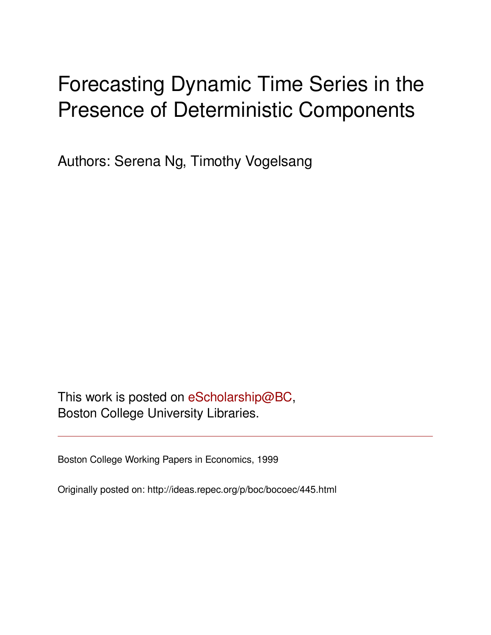# Forecasting Dynamic Time Series in the Presence of Deterministic Components

Authors: Serena Ng, Timothy Vogelsang

This work is posted on [eScholarship@BC](http://escholarship.bc.edu), Boston College University Libraries.

Boston College Working Papers in Economics, 1999

Originally posted on: http://ideas.repec.org/p/boc/bocoec/445.html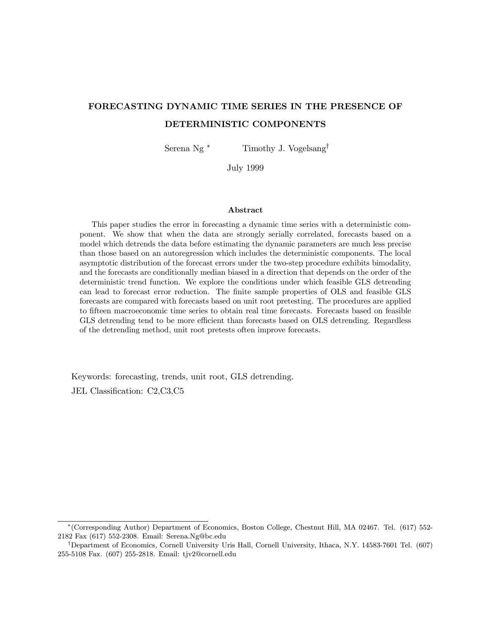# FORECASTING DYNAMIC TIME SERIES IN THE PRESENCE OF DETERMINISTIC COMPONENTS

Serena Ng<sup>\*</sup> Timothy J. Vogelsang<sup>†</sup>

July 1999

#### Abstract

This paper studies the error in forecasting a dynamic time series with a deterministic component. We show that when the data are strongly serially correlated, forecasts based on a model which detrends the data before estimating the dynamic parameters are much less precise than those based on an autoregression which includes the deterministic components. The local asymptotic distribution of the forecast errors under the two-step procedure exhibits bimodality, and the forecasts are conditionally median biased in a direction that depends on the order of the deterministic trend function. We explore the conditions under which feasible GLS detrending can lead to forecast error reduction. The finite sample properties of OLS and feasible GLS forecasts are compared with forecasts based on unit root pretesting. The procedures are applied to fifteen macroeconomic time series to obtain real time forecasts. Forecasts based on feasible GLS detrending tend to be more efficient than forecasts based on OLS detrending. Regardless of the detrending method, unit root pretests often improve forecasts.

Keywords: forecasting, trends, unit root, GLS detrending. JEL Classification: C2,C3,C5

<sup>∗</sup>(Corresponding Author) Department of Economics, Boston College, Chestnut Hill, MA 02467. Tel. (617) 552- 2182 Fax (617) 552-2308. Email: Serena.Ng@bc.edu

<sup>†</sup>Department of Economics, Cornell University Uris Hall, Cornell University, Ithaca, N.Y. 14583-7601 Tel. (607) 255-5108 Fax. (607) 255-2818. Email: tjv2@cornell.edu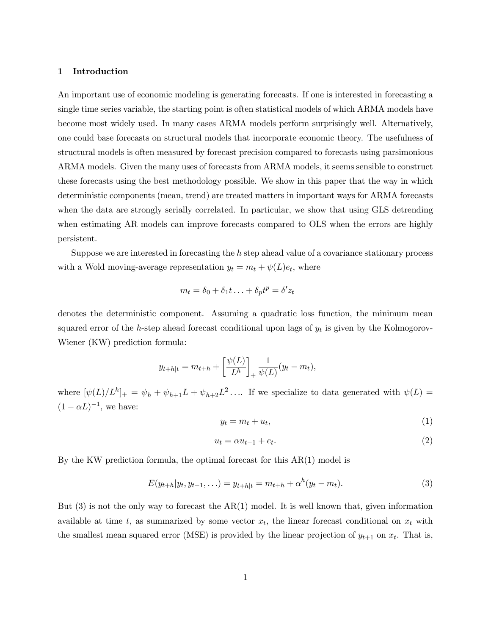# 1 Introduction

An important use of economic modeling is generating forecasts. If one is interested in forecasting a single time series variable, the starting point is often statistical models of which ARMA models have become most widely used. In many cases ARMA models perform surprisingly well. Alternatively, one could base forecasts on structural models that incorporate economic theory. The usefulness of structural models is often measured by forecast precision compared to forecasts using parsimonious ARMA models. Given the many uses of forecasts from ARMA models, it seems sensible to construct these forecasts using the best methodology possible. We show in this paper that the way in which deterministic components (mean, trend) are treated matters in important ways for ARMA forecasts when the data are strongly serially correlated. In particular, we show that using GLS detrending when estimating AR models can improve forecasts compared to OLS when the errors are highly persistent.

Suppose we are interested in forecasting the h step ahead value of a covariance stationary process with a Wold moving-average representation  $y_t = m_t + \psi(L)e_t$ , where

$$
m_t = \delta_0 + \delta_1 t \ldots + \delta_p t^p = \delta' z_t
$$

denotes the deterministic component. Assuming a quadratic loss function, the minimum mean squared error of the h-step ahead forecast conditional upon lags of  $y_t$  is given by the Kolmogorov-Wiener (KW) prediction formula:

$$
y_{t+h|t} = m_{t+h} + \left[\frac{\psi(L)}{L^h}\right]_+ \frac{1}{\psi(L)} (y_t - m_t),
$$

where  $[\psi(L)/L^h]_+ = \psi_h + \psi_{h+1}L + \psi_{h+2}L^2$ .... If we specialize to data generated with  $\psi(L)$  =  $(1 - \alpha L)^{-1}$ , we have:

$$
y_t = m_t + u_t,\tag{1}
$$

$$
u_t = \alpha u_{t-1} + e_t. \tag{2}
$$

By the KW prediction formula, the optimal forecast for this  $AR(1)$  model is

$$
E(y_{t+h}|y_t, y_{t-1}, \ldots) = y_{t+h|t} = m_{t+h} + \alpha^h(y_t - m_t).
$$
\n(3)

But  $(3)$  is not the only way to forecast the AR $(1)$  model. It is well known that, given information available at time t, as summarized by some vector  $x_t$ , the linear forecast conditional on  $x_t$  with the smallest mean squared error (MSE) is provided by the linear projection of  $y_{t+1}$  on  $x_t$ . That is,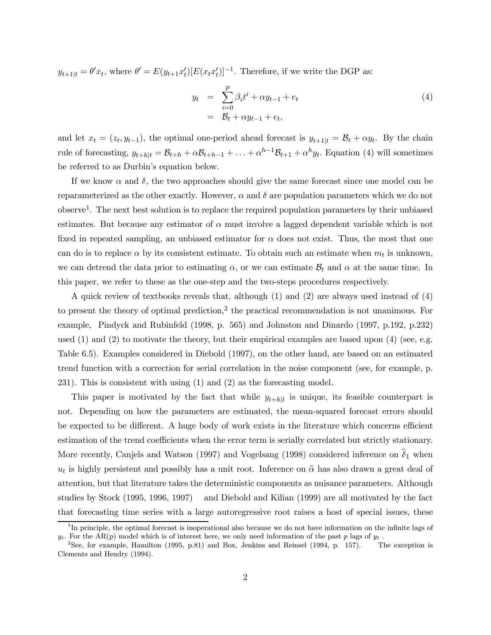$y_{t+1|t} = \theta' x_t$ , where  $\theta' = E(y_{t+1} x_t') [E(x_t x_t')]^{-1}$ . Therefore, if we write the DGP as:

$$
y_t = \sum_{i=0}^p \beta_i t^i + \alpha y_{t-1} + e_t
$$
  
=  $\mathcal{B}_t + \alpha y_{t-1} + e_t,$  (4)

and let  $x_t = (z_t, y_{t-1})$ , the optimal one-period ahead forecast is  $y_{t+1|t} = \mathcal{B}_t + \alpha y_t$ . By the chain rule of forecasting,  $y_{t+h|t} = \mathcal{B}_{t+h} + \alpha \mathcal{B}_{t+h-1} + \ldots + \alpha^{h-1} \mathcal{B}_{t+1} + \alpha^h y_t$ . Equation (4) will sometimes be referred to as Durbin's equation below.

If we know  $\alpha$  and  $\delta$ , the two approaches should give the same forecast since one model can be reparameterized as the other exactly. However,  $\alpha$  and  $\delta$  are population parameters which we do not observe1. The next best solution is to replace the required population parameters by their unbiased estimates. But because any estimator of  $\alpha$  must involve a lagged dependent variable which is not fixed in repeated sampling, an unbiased estimator for  $\alpha$  does not exist. Thus, the most that one can do is to replace  $\alpha$  by its consistent estimate. To obtain such an estimate when  $m_t$  is unknown, we can detrend the data prior to estimating  $\alpha$ , or we can estimate  $\mathcal{B}_t$  and  $\alpha$  at the same time. In this paper, we refer to these as the one-step and the two-steps procedures respectively.

A quick review of textbooks reveals that, although (1) and (2) are always used instead of (4) to present the theory of optimal prediction,<sup>2</sup> the practical recommendation is not unanimous. For example, Pindyck and Rubinfeld (1998, p. 565) and Johnston and Dinardo (1997, p.192, p.232) used  $(1)$  and  $(2)$  to motivate the theory, but their empirical examples are based upon  $(4)$  (see, e.g. Table 6.5). Examples considered in Diebold (1997), on the other hand, are based on an estimated trend function with a correction for serial correlation in the noise component (see, for example, p. 231). This is consistent with using (1) and (2) as the forecasting model.

This paper is motivated by the fact that while  $y_{t+h|t}$  is unique, its feasible counterpart is not. Depending on how the parameters are estimated, the mean-squared forecast errors should be expected to be different. A huge body of work exists in the literature which concerns efficient estimation of the trend coefficients when the error term is serially correlated but strictly stationary. More recently, Canjels and Watson (1997) and Vogelsang (1998) considered inference on  $\delta_1$  when  $u_t$  is highly persistent and possibly has a unit root. Inference on  $\hat{\alpha}$  has also drawn a great deal of attention, but that literature takes the deterministic components as nuisance parameters. Although studies by Stock (1995, 1996, 1997) and Diebold and Kilian (1999) are all motivated by the fact that forecasting time series with a large autoregressive root raises a host of special issues, these

 $1$ In principle, the optimal forecast is inoperational also because we do not have information on the infinite lags of  $y_t$ . For the AR(p) model which is of interest here, we only need information of the past p lags of  $y_t$ .

<sup>&</sup>lt;sup>2</sup>See, for example, Hamilton (1995, p.81) and Box, Jenkins and Reinsel (1994, p. 157). The exception is Clements and Hendry (1994).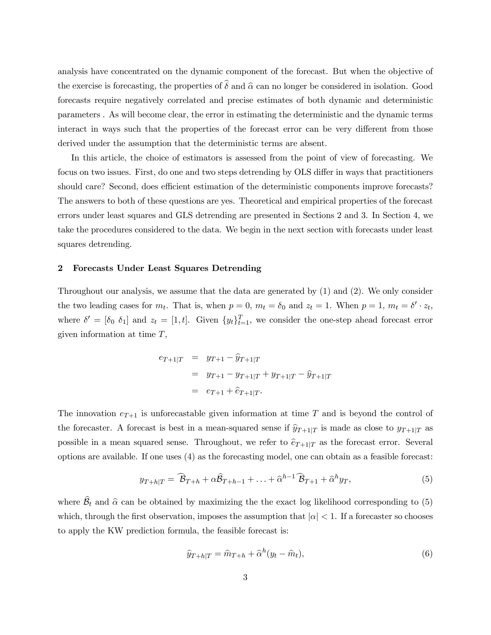analysis have concentrated on the dynamic component of the forecast. But when the objective of the exercise is forecasting, the properties of  $\hat{\delta}$  and  $\hat{\alpha}$  can no longer be considered in isolation. Good forecasts require negatively correlated and precise estimates of both dynamic and deterministic parameters . As will become clear, the error in estimating the deterministic and the dynamic terms interact in ways such that the properties of the forecast error can be very different from those derived under the assumption that the deterministic terms are absent.

In this article, the choice of estimators is assessed from the point of view of forecasting. We focus on two issues. First, do one and two steps detrending by OLS differ in ways that practitioners should care? Second, does efficient estimation of the deterministic components improve forecasts? The answers to both of these questions are yes. Theoretical and empirical properties of the forecast errors under least squares and GLS detrending are presented in Sections 2 and 3. In Section 4, we take the procedures considered to the data. We begin in the next section with forecasts under least squares detrending.

# 2 Forecasts Under Least Squares Detrending

Throughout our analysis, we assume that the data are generated by (1) and (2). We only consider the two leading cases for  $m_t$ . That is, when  $p = 0$ ,  $m_t = \delta_0$  and  $z_t = 1$ . When  $p = 1$ ,  $m_t = \delta' \cdot z_t$ , where  $\delta' = [\delta_0 \ \delta_1]$  and  $z_t = [1, t]$ . Given  $\{y_t\}_{t=1}^T$ , we consider the one-step ahead forecast error given information at time  $T$ ,

$$
e_{T+1|T} = y_{T+1} - \hat{y}_{T+1|T}
$$
  
=  $y_{T+1} - y_{T+1|T} + y_{T+1|T} - \hat{y}_{T+1|T}$   
=  $e_{T+1} + \hat{e}_{T+1|T}$ .

The innovation  $e_{T+1}$  is unforecastable given information at time T and is beyond the control of the forecaster. A forecast is best in a mean-squared sense if  $\hat{y}_{T+1|T}$  is made as close to  $y_{T+1|T}$  as possible in a mean squared sense. Throughout, we refer to  $\hat{e}_{T+1|T}$  as the forecast error. Several options are available. If one uses (4) as the forecasting model, one can obtain as a feasible forecast:

$$
y_{T+h|T} = \widehat{B}_{T+h} + \alpha \widehat{B}_{T+h-1} + \ldots + \widehat{\alpha}^{h-1} \widehat{B}_{T+1} + \widehat{\alpha}^h y_T,
$$
\n<sup>(5)</sup>

where  $B_t$  and  $\hat{\alpha}$  can be obtained by maximizing the the exact log likelihood corresponding to (5) which, through the first observation, imposes the assumption that  $|\alpha| < 1$ . If a forecaster so chooses to apply the KW prediction formula, the feasible forecast is:

$$
\widehat{y}_{T+h|T} = \widehat{m}_{T+h} + \widehat{\alpha}^h(y_t - \widehat{m}_t),\tag{6}
$$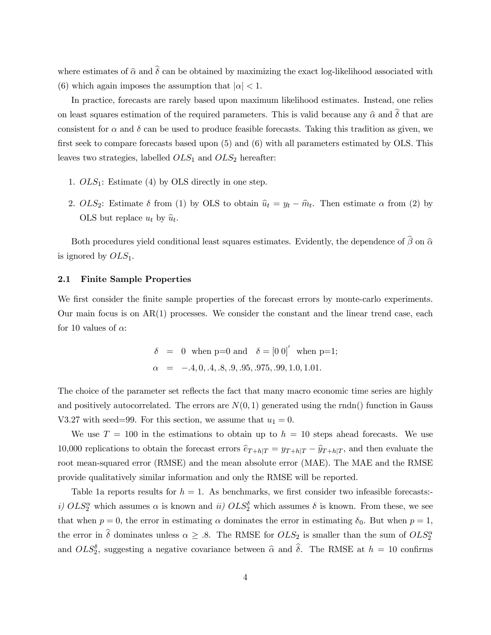where estimates of  $\hat{\alpha}$  and  $\hat{\delta}$  can be obtained by maximizing the exact log-likelihood associated with (6) which again imposes the assumption that  $|\alpha| < 1$ .

In practice, forecasts are rarely based upon maximum likelihood estimates. Instead, one relies on least squares estimation of the required parameters. This is valid because any  $\hat{\alpha}$  and  $\hat{\delta}$  that are consistent for  $\alpha$  and  $\delta$  can be used to produce feasible forecasts. Taking this tradition as given, we first seek to compare forecasts based upon (5) and (6) with all parameters estimated by OLS. This leaves two strategies, labelled  $OLS_1$  and  $OLS_2$  hereafter:

- 1.  $OLS_1$ : Estimate (4) by OLS directly in one step.
- 2.  $OLS_2$ : Estimate  $\delta$  from (1) by OLS to obtain  $\hat{u}_t = y_t \hat{m}_t$ . Then estimate  $\alpha$  from (2) by OLS but replace  $u_t$  by  $\widehat{u}_t$ .

Both procedures yield conditional least squares estimates. Evidently, the dependence of  $\beta$  on  $\widehat{\alpha}$ is ignored by  $OLS_1$ .

# 2.1 Finite Sample Properties

We first consider the finite sample properties of the forecast errors by monte-carlo experiments. Our main focus is on  $AR(1)$  processes. We consider the constant and the linear trend case, each for 10 values of  $\alpha$ :

$$
\delta = 0 \text{ when } p=0 \text{ and } \delta = [0 \ 0]' \text{ when } p=1; \n\alpha = -0.4, 0, 0.4, 0.8, 0.9, 0.95, 0.975, 0.99, 1.0, 1.01.
$$

The choice of the parameter set reflects the fact that many macro economic time series are highly and positively autocorrelated. The errors are  $N(0, 1)$  generated using the rndn() function in Gauss V3.27 with seed=99. For this section, we assume that  $u_1 = 0$ .

We use  $T = 100$  in the estimations to obtain up to  $h = 10$  steps ahead forecasts. We use 10,000 replications to obtain the forecast errors  $\hat{e}_{T+h|T} = y_{T+h|T} - \hat{y}_{T+h|T}$ , and then evaluate the root mean-squared error (RMSE) and the mean absolute error (MAE). The MAE and the RMSE provide qualitatively similar information and only the RMSE will be reported.

Table 1a reports results for  $h = 1$ . As benchmarks, we first consider two infeasible forecasts: i)  $OLS^{\alpha}_{2}$  which assumes  $\alpha$  is known and ii)  $OLS^{\delta}_{2}$  which assumes  $\delta$  is known. From these, we see that when  $p = 0$ , the error in estimating  $\alpha$  dominates the error in estimating  $\delta_0$ . But when  $p = 1$ , the error in  $\hat{\delta}$  dominates unless  $\alpha \geq .8$ . The RMSE for  $OLS_2$  is smaller than the sum of  $OLS_2^{\alpha}$ and  $OLS^{\delta}_{2}$ , suggesting a negative covariance between  $\hat{\alpha}$  and  $\hat{\delta}$ . The RMSE at  $h = 10$  confirms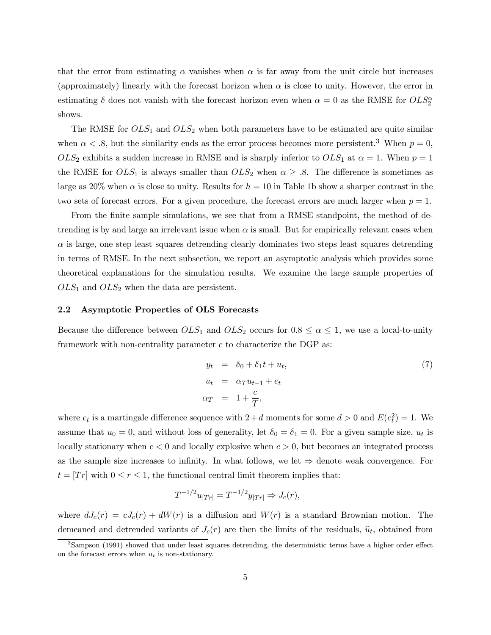that the error from estimating  $\alpha$  vanishes when  $\alpha$  is far away from the unit circle but increases (approximately) linearly with the forecast horizon when  $\alpha$  is close to unity. However, the error in estimating  $\delta$  does not vanish with the forecast horizon even when  $\alpha = 0$  as the RMSE for  $OLS^{\alpha}_2$ shows.

The RMSE for  $OLS_1$  and  $OLS_2$  when both parameters have to be estimated are quite similar when  $\alpha$  < .8, but the similarity ends as the error process becomes more persistent.<sup>3</sup> When  $p = 0$ ,  $OLS_2$  exhibits a sudden increase in RMSE and is sharply inferior to  $OLS_1$  at  $\alpha = 1$ . When  $p = 1$ the RMSE for  $OLS_1$  is always smaller than  $OLS_2$  when  $\alpha \geq .8$ . The difference is sometimes as large as 20% when  $\alpha$  is close to unity. Results for  $h = 10$  in Table 1b show a sharper contrast in the two sets of forecast errors. For a given procedure, the forecast errors are much larger when  $p = 1$ .

From the finite sample simulations, we see that from a RMSE standpoint, the method of detrending is by and large an irrelevant issue when  $\alpha$  is small. But for empirically relevant cases when  $\alpha$  is large, one step least squares detrending clearly dominates two steps least squares detrending in terms of RMSE. In the next subsection, we report an asymptotic analysis which provides some theoretical explanations for the simulation results. We examine the large sample properties of  $OLS_1$  and  $OLS_2$  when the data are persistent.

# 2.2 Asymptotic Properties of OLS Forecasts

Because the difference between  $OLS_1$  and  $OLS_2$  occurs for  $0.8 \le \alpha \le 1$ , we use a local-to-unity framework with non-centrality parameter  $c$  to characterize the DGP as:

$$
y_t = \delta_0 + \delta_1 t + u_t,
$$
  
\n
$$
u_t = \alpha_T u_{t-1} + e_t
$$
  
\n
$$
\alpha_T = 1 + \frac{c}{T},
$$
\n(7)

where  $e_t$  is a martingale difference sequence with  $2 + d$  moments for some  $d > 0$  and  $E(e_t^2) = 1$ . We assume that  $u_0 = 0$ , and without loss of generality, let  $\delta_0 = \delta_1 = 0$ . For a given sample size,  $u_t$  is locally stationary when  $c < 0$  and locally explosive when  $c > 0$ , but becomes an integrated process as the sample size increases to infinity. In what follows, we let  $\Rightarrow$  denote weak convergence. For  $t = [Tr]$  with  $0 \le r \le 1$ , the functional central limit theorem implies that:

$$
T^{-1/2}u_{[Tr]} = T^{-1/2}y_{[Tr]} \Rightarrow J_c(r),
$$

where  $dJ_c(r) = cJ_c(r) + dW(r)$  is a diffusion and  $W(r)$  is a standard Brownian motion. The demeaned and detrended variants of  $J_c(r)$  are then the limits of the residuals,  $\hat{u}_t$ , obtained from

<sup>&</sup>lt;sup>3</sup>Sampson (1991) showed that under least squares detrending, the deterministic terms have a higher order effect on the forecast errors when  $u_t$  is non-stationary.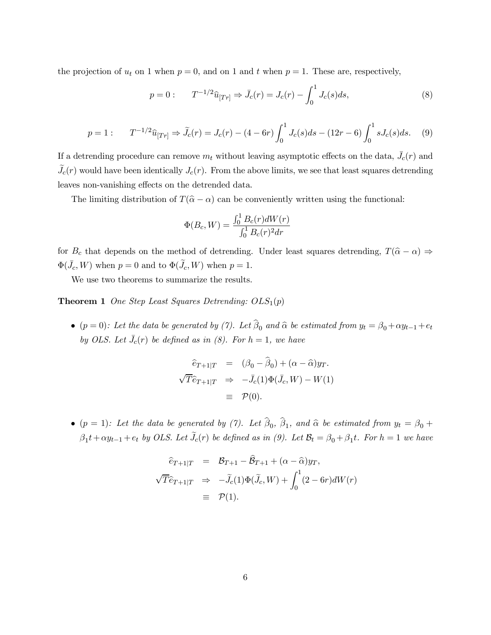the projection of  $u_t$  on 1 when  $p = 0$ , and on 1 and t when  $p = 1$ . These are, respectively,

$$
p = 0: \t T^{-1/2}\hat{u}_{[Tr]} \Rightarrow \bar{J}_c(r) = J_c(r) - \int_0^1 J_c(s)ds,
$$
\t(8)

$$
p = 1: \qquad T^{-1/2}\hat{u}_{[Tr]} \Rightarrow \tilde{J}_c(r) = J_c(r) - (4 - 6r) \int_0^1 J_c(s)ds - (12r - 6) \int_0^1 sJ_c(s)ds. \tag{9}
$$

If a detrending procedure can remove  $m_t$  without leaving asymptotic effects on the data,  $\bar{J}_c(r)$  and  $J_c(r)$  would have been identically  $J_c(r)$ . From the above limits, we see that least squares detrending leaves non-vanishing effects on the detrended data.

The limiting distribution of  $T(\hat{\alpha} - \alpha)$  can be conveniently written using the functional:

$$
\Phi(B_c, W) = \frac{\int_0^1 B_c(r) dW(r)}{\int_0^1 B_c(r)^2 dr}
$$

for  $B_c$  that depends on the method of detrending. Under least squares detrending,  $T(\hat{\alpha} - \alpha) \Rightarrow$  $\Phi(\bar{J}_c, W)$  when  $p = 0$  and to  $\Phi(\tilde{J}_c, W)$  when  $p = 1$ .

We use two theorems to summarize the results.

**Theorem 1** One Step Least Squares Detrending:  $OLS_1(p)$ 

• ( $p = 0$ ): Let the data be generated by (7). Let  $\beta_0$  and  $\widehat{\alpha}$  be estimated from  $y_t = \beta_0 + \alpha y_{t-1} + e_t$ by OLS. Let  $\bar{J}_c(r)$  be defined as in (8). For  $h = 1$ , we have

$$
\begin{aligned}\n\widehat{e}_{T+1|T} &= (\beta_0 - \widehat{\beta}_0) + (\alpha - \widehat{\alpha})y_T. \\
\sqrt{T} \widehat{e}_{T+1|T} &\Rightarrow -\bar{J}_c(1)\Phi(\bar{J}_c, W) - W(1) \\
&\equiv \mathcal{P}(0).\n\end{aligned}
$$

• ( $p = 1$ ): Let the data be generated by (7). Let  $\beta_0$ ,  $\beta_1$ , and  $\hat{\alpha}$  be estimated from  $y_t = \beta_0 + \beta_1$  $\beta_1 t + \alpha y_{t-1} + e_t$  by OLS. Let  $\tilde{J}_c(r)$  be defined as in (9). Let  $\mathcal{B}_t = \beta_0 + \beta_1 t$ . For  $h = 1$  we have

$$
\begin{aligned}\n\widehat{e}_{T+1|T} &= \mathcal{B}_{T+1} - \widehat{\mathcal{B}}_{T+1} + (\alpha - \widehat{\alpha})y_T, \\
\sqrt{T}\widehat{e}_{T+1|T} &\Rightarrow -\widetilde{J}_c(1)\Phi(\widetilde{J}_c, W) + \int_0^1 (2 - 6r)dW(r) \\
&\equiv \mathcal{P}(1).\n\end{aligned}
$$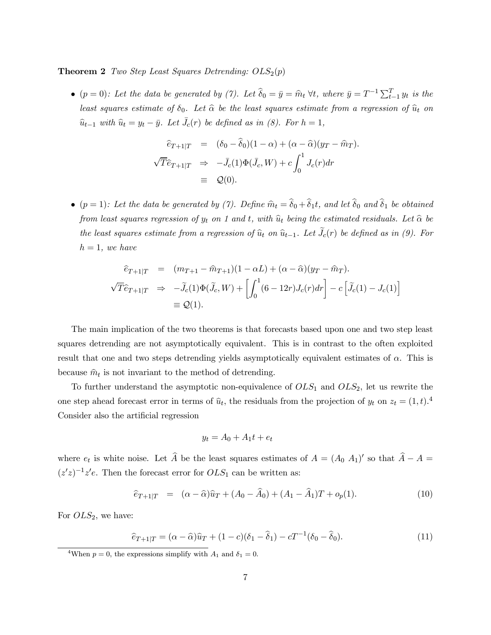**Theorem 2** Two Step Least Squares Detrending:  $OLS_2(p)$ 

• (p = 0): Let the data be generated by (7). Let  $\hat{\delta}_0 = \bar{y} = \hat{m}_t \ \forall t$ , where  $\bar{y} = T^{-1} \sum_{t=1}^T y_t$  is the least squares estimate of  $\delta_0$ . Let  $\hat{\alpha}$  be the least squares estimate from a regression of  $\hat{u}_t$  on  $\widehat{u}_{t-1}$  with  $\widehat{u}_t = y_t - \bar{y}$ . Let  $\bar{J}_c(r)$  be defined as in (8). For  $h = 1$ ,

$$
\begin{aligned}\n\widehat{e}_{T+1|T} &= (\delta_0 - \widehat{\delta}_0)(1 - \alpha) + (\alpha - \widehat{\alpha})(y_T - \widehat{m}_T). \\
\sqrt{T}\widehat{e}_{T+1|T} &\Rightarrow -\bar{J}_c(1)\Phi(\bar{J}_c, W) + c \int_0^1 J_c(r) dr \\
&\equiv \mathcal{Q}(0).\n\end{aligned}
$$

•  $(p = 1)$ : Let the data be generated by (7). Define  $\hat{m}_t = \hat{\delta}_0 + \hat{\delta}_1 t$ , and let  $\hat{\delta}_0$  and  $\hat{\delta}_1$  be obtained from least squares regression of  $y_t$  on 1 and t, with  $\hat{u}_t$  being the estimated residuals. Let  $\hat{\alpha}$  be the least squares estimate from a regression of  $\hat{u}_t$  on  $\hat{u}_{t-1}$ . Let  $\tilde{J}_c(r)$  be defined as in (9). For  $h = 1$ , we have

$$
\begin{aligned}\n\widehat{e}_{T+1|T} &= (m_{T+1} - \widehat{m}_{T+1})(1 - \alpha L) + (\alpha - \widehat{\alpha})(y_T - \widehat{m}_T). \\
\sqrt{T}\widehat{e}_{T+1|T} &\Rightarrow -\widetilde{J}_c(1)\Phi(\widetilde{J}_c, W) + \left[\int_0^1 (6 - 12r)J_c(r)dr\right] - c\left[\widetilde{J}_c(1) - J_c(1)\right] \\
&\equiv \mathcal{Q}(1).\n\end{aligned}
$$

The main implication of the two theorems is that forecasts based upon one and two step least squares detrending are not asymptotically equivalent. This is in contrast to the often exploited result that one and two steps detrending yields asymptotically equivalent estimates of  $\alpha$ . This is because  $\hat{m}_t$  is not invariant to the method of detrending.

To further understand the asymptotic non-equivalence of  $OLS_1$  and  $OLS_2$ , let us rewrite the one step ahead forecast error in terms of  $\hat{u}_t$ , the residuals from the projection of  $y_t$  on  $z_t = (1, t)$ .<sup>4</sup> Consider also the artificial regression

$$
y_t = A_0 + A_1 t + e_t
$$

where  $e_t$  is white noise. Let  $\hat{A}$  be the least squares estimates of  $A = (A_0 \ A_1)'$  so that  $\hat{A} - A =$  $(z'z)^{-1}z'e$ . Then the forecast error for  $OLS_1$  can be written as:

$$
\hat{e}_{T+1|T} = (\alpha - \hat{\alpha})\hat{u}_T + (A_0 - \hat{A}_0) + (A_1 - \hat{A}_1)T + o_p(1). \tag{10}
$$

For  $OLS_2$ , we have:

$$
\hat{e}_{T+1|T} = (\alpha - \hat{\alpha})\hat{u}_T + (1 - c)(\delta_1 - \hat{\delta}_1) - cT^{-1}(\delta_0 - \hat{\delta}_0). \tag{11}
$$

<sup>&</sup>lt;sup>4</sup>When  $p = 0$ , the expressions simplify with  $A_1$  and  $\delta_1 = 0$ .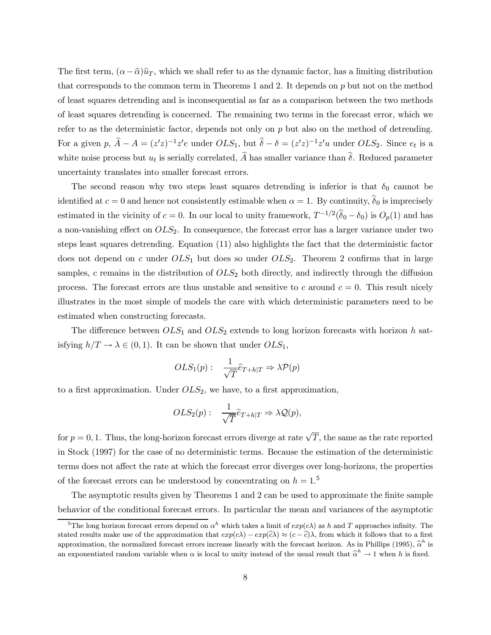The first term,  $(\alpha - \hat{\alpha})\hat{u}_T$ , which we shall refer to as the dynamic factor, has a limiting distribution that corresponds to the common term in Theorems 1 and 2. It depends on  $p$  but not on the method of least squares detrending and is inconsequential as far as a comparison between the two methods of least squares detrending is concerned. The remaining two terms in the forecast error, which we refer to as the deterministic factor, depends not only on  $p$  but also on the method of determing. For a given  $p, \hat{A} - A = (z'z)^{-1}z'e$  under  $OLS_1$ , but  $\hat{\delta} - \delta = (z'z)^{-1}z'u$  under  $OLS_2$ . Since  $e_t$  is a white noise process but  $u_t$  is serially correlated,  $\widehat{A}$  has smaller variance than  $\widehat{\delta}$ . Reduced parameter uncertainty translates into smaller forecast errors.

The second reason why two steps least squares detrending is inferior is that  $\delta_0$  cannot be identified at  $c = 0$  and hence not consistently estimable when  $\alpha = 1$ . By continuity,  $\delta_0$  is imprecisely estimated in the vicinity of  $c = 0$ . In our local to unity framework,  $T^{-1/2}(\hat{\delta}_0 - \delta_0)$  is  $O_p(1)$  and has a non-vanishing effect on  $OLS_2$ . In consequence, the forecast error has a larger variance under two steps least squares detrending. Equation (11) also highlights the fact that the deterministic factor does not depend on c under  $OLS_1$  but does so under  $OLS_2$ . Theorem 2 confirms that in large samples, c remains in the distribution of  $OLS_2$  both directly, and indirectly through the diffusion process. The forecast errors are thus unstable and sensitive to c around  $c = 0$ . This result nicely illustrates in the most simple of models the care with which deterministic parameters need to be estimated when constructing forecasts.

The difference between  $OLS_1$  and  $OLS_2$  extends to long horizon forecasts with horizon h satisfying  $h/T \to \lambda \in (0, 1)$ . It can be shown that under  $OLS_1$ ,

$$
OLS_1(p): \quad \frac{1}{\sqrt{T}}\widehat{e}_{T+h|T} \Rightarrow \lambda \mathcal{P}(p)
$$

to a first approximation. Under  $OLS_2$ , we have, to a first approximation,

$$
OLS_2(p): \quad \frac{1}{\sqrt{T}}\widehat{e}_{T+h|T} \Rightarrow \lambda \mathcal{Q}(p),
$$

for  $p = 0, 1$ . Thus, the long-horizon forecast errors diverge at rate  $\sqrt{T}$ , the same as the rate reported in Stock (1997) for the case of no deterministic terms. Because the estimation of the deterministic terms does not affect the rate at which the forecast error diverges over long-horizons, the properties of the forecast errors can be understood by concentrating on  $h = 1.5$ 

The asymptotic results given by Theorems 1 and 2 can be used to approximate the finite sample behavior of the conditional forecast errors. In particular the mean and variances of the asymptotic

<sup>&</sup>lt;sup>5</sup>The long horizon forecast errors depend on  $\alpha^h$  which takes a limit of  $exp(c\lambda)$  as h and T approaches infinity. The stated results make use of the approximation that  $exp(c\lambda) - exp(c\lambda) \approx (c - \hat{c})\lambda$ , from which it follows that to a first approximation, the normalized forecast errors increase linearly with the forecast horizon. As in Phillips (1995),  $\hat{\alpha}^h$  is an exponentiated random variable when  $\alpha$  is local to unity instead of the usual result that  $\hat{\alpha}^h \to 1$  when h is fixed.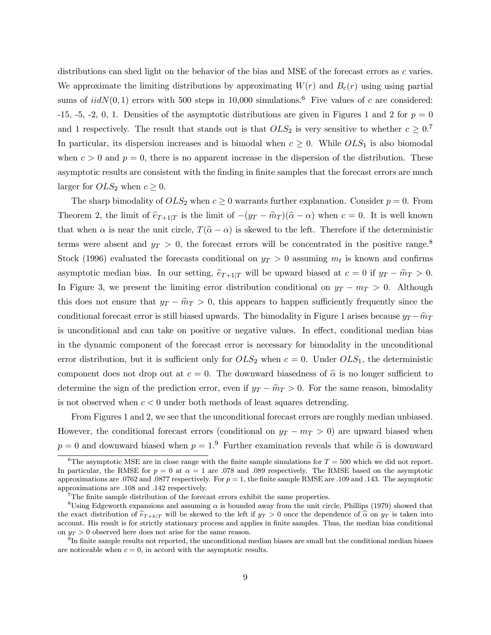distributions can shed light on the behavior of the bias and MSE of the forecast errors as c varies. We approximate the limiting distributions by approximating  $W(r)$  and  $B_c(r)$  using using partial sums of  $iidN(0, 1)$  errors with 500 steps in 10,000 simulations.<sup>6</sup> Five values of c are considered: -15, -5, -2, 0, 1. Densities of the asymptotic distributions are given in Figures 1 and 2 for  $p = 0$ and 1 respectively. The result that stands out is that  $OLS_2$  is very sensitive to whether  $c \geq 0.7$ In particular, its dispersion increases and is bimodal when  $c \geq 0$ . While  $OLS_1$  is also biomodal when  $c > 0$  and  $p = 0$ , there is no apparent increase in the dispersion of the distribution. These asymptotic results are consistent with the finding in finite samples that the forecast errors are much larger for  $OLS_2$  when  $c \geq 0$ .

The sharp bimodality of  $OLS_2$  when  $c \geq 0$  warrants further explanation. Consider  $p = 0$ . From Theorem 2, the limit of  $\hat{e}_{T+1|T}$  is the limit of  $-(y_T - \hat{m}_T)(\hat{\alpha} - \alpha)$  when  $c = 0$ . It is well known that when  $\alpha$  is near the unit circle,  $T(\hat{\alpha} - \alpha)$  is skewed to the left. Therefore if the deterministic terms were absent and  $y_T > 0$ , the forecast errors will be concentrated in the positive range.<sup>8</sup> Stock (1996) evaluated the forecasts conditional on  $y_T > 0$  assuming  $m_t$  is known and confirms asymptotic median bias. In our setting,  $\hat{e}_{T+1|T}$  will be upward biased at  $c = 0$  if  $y_T - \hat{m}_T > 0$ . In Figure 3, we present the limiting error distribution conditional on  $y_T - m_T > 0$ . Although this does not ensure that  $y_T - \hat{m}_T > 0$ , this appears to happen sufficiently frequently since the conditional forecast error is still biased upwards. The bimodality in Figure 1 arises because  $y_T - \hat{m}_T$ is unconditional and can take on positive or negative values. In effect, conditional median bias in the dynamic component of the forecast error is necessary for bimodality in the unconditional error distribution, but it is sufficient only for  $OLS_2$  when  $c = 0$ . Under  $OLS_1$ , the deterministic component does not drop out at  $c = 0$ . The downward biasedness of  $\hat{\alpha}$  is no longer sufficient to determine the sign of the prediction error, even if  $y_T - \hat{m}_T > 0$ . For the same reason, bimodality is not observed when  $c < 0$  under both methods of least squares detrending.

From Figures 1 and 2, we see that the unconditional forecast errors are roughly median unbiased. However, the conditional forecast errors (conditional on  $y_T - m_T > 0$ ) are upward biased when  $p = 0$  and downward biased when  $p = 1<sup>9</sup>$  Further examination reveals that while  $\hat{\alpha}$  is downward

<sup>&</sup>lt;sup>6</sup>The asymptotic MSE are in close range with the finite sample simulations for  $T = 500$  which we did not report. In particular, the RMSE for  $p = 0$  at  $\alpha = 1$  are .078 and .089 respectively. The RMSE based on the asymptotic approximations are .0762 and .0877 respectively. For  $p = 1$ , the finite sample RMSE are .109 and .143. The asymptotic approximations are .108 and .142 respectively.

<sup>7</sup>The finite sample distribution of the forecast errors exhibit the same properties.

<sup>&</sup>lt;sup>8</sup>Using Edgeworth expansions and assuming  $\alpha$  is bounded away from the unit circle, Phillips (1979) showed that the exact distribution of  $\hat{e}_{T+h|T}$  will be skewed to the left if  $y_T > 0$  once the dependence of  $\hat{\alpha}$  on  $y_T$  is taken into account. His result is for strictly stationary process and applies in finite samples. Thus, the median bias conditional on  $y_T > 0$  observed here does not arise for the same reason.

 $^{9}$ In finite sample results not reported, the unconditional median biases are small but the conditional median biases are noticeable when  $c = 0$ , in accord with the asymptotic results.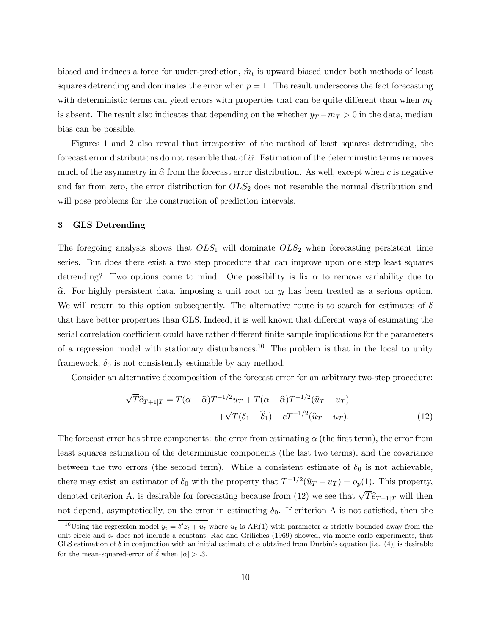biased and induces a force for under-prediction,  $\hat{m}_t$  is upward biased under both methods of least squares detrending and dominates the error when  $p = 1$ . The result underscores the fact forecasting with deterministic terms can yield errors with properties that can be quite different than when  $m_t$ is absent. The result also indicates that depending on the whether  $y_T - m_T > 0$  in the data, median bias can be possible.

Figures 1 and 2 also reveal that irrespective of the method of least squares detrending, the forecast error distributions do not resemble that of  $\hat{\alpha}$ . Estimation of the deterministic terms removes much of the asymmetry in  $\hat{\alpha}$  from the forecast error distribution. As well, except when c is negative and far from zero, the error distribution for  $OLS_2$  does not resemble the normal distribution and will pose problems for the construction of prediction intervals.

# 3 GLS Detrending

The foregoing analysis shows that  $OLS_1$  will dominate  $OLS_2$  when forecasting persistent time series. But does there exist a two step procedure that can improve upon one step least squares detrending? Two options come to mind. One possibility is fix  $\alpha$  to remove variability due to  $\hat{\alpha}$ . For highly persistent data, imposing a unit root on  $y_t$  has been treated as a serious option. We will return to this option subsequently. The alternative route is to search for estimates of  $\delta$ that have better properties than OLS. Indeed, it is well known that different ways of estimating the serial correlation coefficient could have rather different finite sample implications for the parameters of a regression model with stationary disturbances.<sup>10</sup> The problem is that in the local to unity framework,  $\delta_0$  is not consistently estimable by any method.

Consider an alternative decomposition of the forecast error for an arbitrary two-step procedure:

$$
\sqrt{T}\hat{e}_{T+1|T} = T(\alpha - \hat{\alpha})T^{-1/2}u_T + T(\alpha - \hat{\alpha})T^{-1/2}(\hat{u}_T - u_T) \n+ \sqrt{T}(\delta_1 - \hat{\delta}_1) - cT^{-1/2}(\hat{u}_T - u_T).
$$
\n(12)

The forecast error has three components: the error from estimating  $\alpha$  (the first term), the error from least squares estimation of the deterministic components (the last two terms), and the covariance between the two errors (the second term). While a consistent estimate of  $\delta_0$  is not achievable, there may exist an estimator of  $\delta_0$  with the property that  $T^{-1/2}(\hat{u}_T - u_T) = o_p(1)$ . This property, denoted criterion A, is desirable for forecasting because from (12) we see that  $\sqrt{T} \hat{e}_{T+1|T}$  will then not depend, asymptotically, on the error in estimating  $\delta_0$ . If criterion A is not satisfied, then the

<sup>&</sup>lt;sup>10</sup>Using the regression model  $y_t = \delta' z_t + u_t$  where  $u_t$  is AR(1) with parameter  $\alpha$  strictly bounded away from the unit circle and  $z_t$  does not include a constant, Rao and Griliches (1969) showed, via monte-carlo experiments, that GLS estimation of  $\delta$  in conjunction with an initial estimate of  $\alpha$  obtained from Durbin's equation [i.e. (4)] is desirable for the mean-squared-error of  $\hat{\delta}$  when  $|\alpha| > .3$ .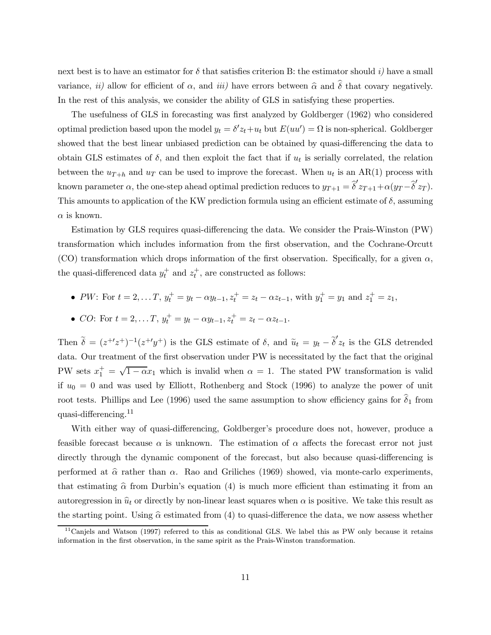next best is to have an estimator for  $\delta$  that satisfies criterion B: the estimator should i) have a small variance, ii) allow for efficient of  $\alpha$ , and iii) have errors between  $\hat{\alpha}$  and  $\hat{\delta}$  that covary negatively. In the rest of this analysis, we consider the ability of GLS in satisfying these properties.

The usefulness of GLS in forecasting was first analyzed by Goldberger (1962) who considered optimal prediction based upon the model  $y_t = \delta' z_t + u_t$  but  $E(uu') = \Omega$  is non-spherical. Goldberger showed that the best linear unbiased prediction can be obtained by quasi-differencing the data to obtain GLS estimates of  $\delta$ , and then exploit the fact that if  $u_t$  is serially correlated, the relation between the  $u_{T+h}$  and  $u_T$  can be used to improve the forecast. When  $u_t$  is an AR(1) process with known parameter  $\alpha$ , the one-step ahead optimal prediction reduces to  $y_{T+1} = \hat{\delta}' z_{T+1} + \alpha (y_T - \hat{\delta}' z_T)$ . This amounts to application of the KW prediction formula using an efficient estimate of  $\delta$ , assuming  $\alpha$  is known.

Estimation by GLS requires quasi-differencing the data. We consider the Prais-Winston (PW) transformation which includes information from the first observation, and the Cochrane-Orcutt (CO) transformation which drops information of the first observation. Specifically, for a given  $\alpha$ , the quasi-differenced data  $y_t^+$  and  $z_t^+$ , are constructed as follows:

• *PW*: For 
$$
t = 2, ..., T
$$
,  $y_t^+ = y_t - \alpha y_{t-1}$ ,  $z_t^+ = z_t - \alpha z_{t-1}$ , with  $y_1^+ = y_1$  and  $z_1^+ = z_1$ ,

• CO: For 
$$
t = 2, ..., T
$$
,  $y_t^+ = y_t - \alpha y_{t-1}$ ,  $z_t^+ = z_t - \alpha z_{t-1}$ .

Then  $\tilde{\delta} = (z^{+1}z^{+})^{-1}(z^{+1}y^{+})$  is the GLS estimate of  $\delta$ , and  $\tilde{u}_t = y_t - \tilde{\delta}' z_t$  is the GLS detrended data. Our treatment of the first observation under PW is necessitated by the fact that the original PW sets  $x_1^+ = \sqrt{1 - \alpha} x_1$  which is invalid when  $\alpha = 1$ . The stated PW transformation is valid if  $u_0 = 0$  and was used by Elliott, Rothenberg and Stock (1996) to analyze the power of unit root tests. Phillips and Lee (1996) used the same assumption to show efficiency gains for  $\hat{\delta}_1$  from quasi-differencing.<sup>11</sup>

With either way of quasi-differencing, Goldberger's procedure does not, however, produce a feasible forecast because  $\alpha$  is unknown. The estimation of  $\alpha$  affects the forecast error not just directly through the dynamic component of the forecast, but also because quasi-differencing is performed at  $\hat{\alpha}$  rather than  $\alpha$ . Rao and Griliches (1969) showed, via monte-carlo experiments, that estimating  $\hat{\alpha}$  from Durbin's equation (4) is much more efficient than estimating it from an autoregression in  $\hat{u}_t$  or directly by non-linear least squares when  $\alpha$  is positive. We take this result as the starting point. Using  $\hat{\alpha}$  estimated from (4) to quasi-difference the data, we now assess whether

 $11$ Canjels and Watson (1997) referred to this as conditional GLS. We label this as PW only because it retains information in the first observation, in the same spirit as the Prais-Winston transformation.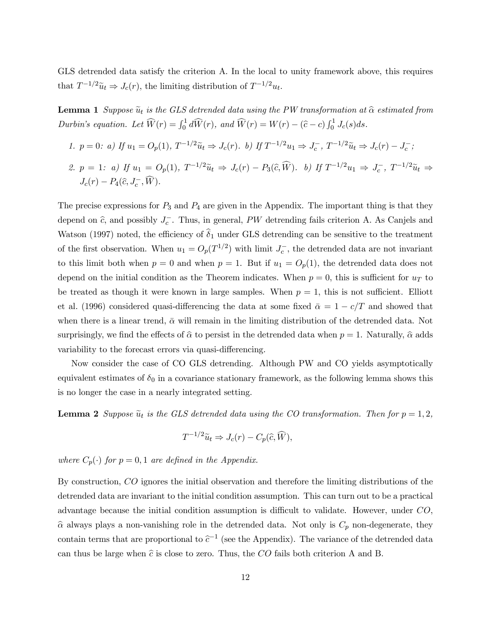GLS detrended data satisfy the criterion A. In the local to unity framework above, this requires that  $T^{-1/2}\tilde{u}_t \Rightarrow J_c(r)$ , the limiting distribution of  $T^{-1/2}u_t$ .

**Lemma 1** Suppose  $\tilde{u}_t$  is the GLS detrended data using the PW transformation at  $\hat{\alpha}$  estimated from Durbin's equation. Let  $\widehat{W}(r) = \int_0^1 d\widehat{W}(r)$ , and  $\widehat{W}(r) = W(r) - (\widehat{c} - c) \int_0^1 J_c(s) ds$ .

- 1.  $p = 0$ : a) If  $u_1 = O_p(1)$ ,  $T^{-1/2}\tilde{u}_t \Rightarrow J_c(r)$ . b) If  $T^{-1/2}u_1 \Rightarrow J_c^-, T^{-1/2}\tilde{u}_t \Rightarrow J_c(r) J_c^-$ ;
- 2.  $p = 1$ : a) If  $u_1 = O_p(1)$ ,  $T^{-1/2}\tilde{u}_t \Rightarrow J_c(r) P_3(\hat{c}, \hat{W})$ . b) If  $T^{-1/2}u_1 \Rightarrow J_c^-, T^{-1/2}\tilde{u}_t \Rightarrow$  $J_c(r) - P_4(\hat{c}, J_c^-, W).$

The precise expressions for  $P_3$  and  $P_4$  are given in the Appendix. The important thing is that they depend on  $\hat{c}$ , and possibly  $J_c^-$ . Thus, in general, PW detrending fails criterion A. As Canjels and Watson (1997) noted, the efficiency of  $\hat{\delta}_1$  under GLS detrending can be sensitive to the treatment of the first observation. When  $u_1 = O_p(T^{1/2})$  with limit  $J_c^-$ , the detrended data are not invariant to this limit both when  $p = 0$  and when  $p = 1$ . But if  $u_1 = O_p(1)$ , the detrended data does not depend on the initial condition as the Theorem indicates. When  $p = 0$ , this is sufficient for  $u<sub>T</sub>$  to be treated as though it were known in large samples. When  $p = 1$ , this is not sufficient. Elliott et al. (1996) considered quasi-differencing the data at some fixed  $\bar{\alpha} = 1 - c/T$  and showed that when there is a linear trend,  $\bar{\alpha}$  will remain in the limiting distribution of the detrended data. Not surprisingly, we find the effects of  $\hat{\alpha}$  to persist in the detrended data when  $p = 1$ . Naturally,  $\hat{\alpha}$  adds variability to the forecast errors via quasi-differencing.

Now consider the case of CO GLS detrending. Although PW and CO yields asymptotically equivalent estimates of  $\delta_0$  in a covariance stationary framework, as the following lemma shows this is no longer the case in a nearly integrated setting.

**Lemma 2** Suppose  $\tilde{u}_t$  is the GLS detrended data using the CO transformation. Then for  $p = 1, 2$ ,

$$
T^{-1/2}\widetilde{u}_t \Rightarrow J_c(r) - C_p(\widehat{c}, \widehat{W}),
$$

where  $C_p(\cdot)$  for  $p = 0, 1$  are defined in the Appendix.

By construction, CO ignores the initial observation and therefore the limiting distributions of the detrended data are invariant to the initial condition assumption. This can turn out to be a practical advantage because the initial condition assumption is difficult to validate. However, under CO,  $\hat{\alpha}$  always plays a non-vanishing role in the detrended data. Not only is  $C_p$  non-degenerate, they contain terms that are proportional to  $\tilde{c}^{-1}$  (see the Appendix). The variance of the detrended data can thus be large when  $\hat{c}$  is close to zero. Thus, the CO fails both criterion A and B.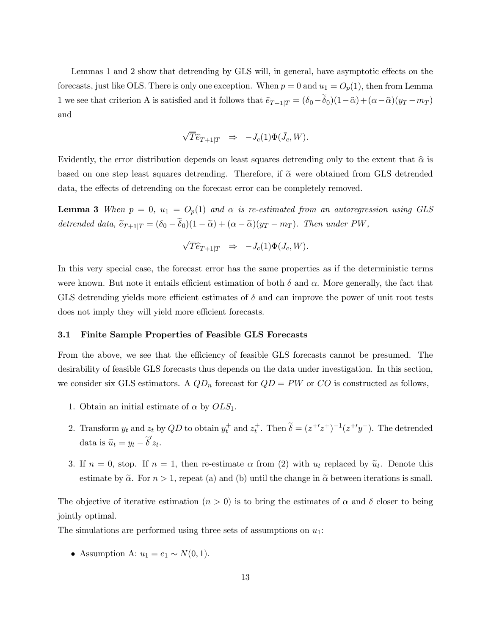Lemmas 1 and 2 show that detrending by GLS will, in general, have asymptotic effects on the forecasts, just like OLS. There is only one exception. When  $p = 0$  and  $u_1 = O_p(1)$ , then from Lemma 1 we see that criterion A is satisfied and it follows that  $\hat{e}_{T+1|T} = (\delta_0 - \tilde{\delta}_0)(1-\hat{\alpha}) + (\alpha - \hat{\alpha})(y_T - m_T)$ and

$$
\sqrt{T}\widehat{e}_{T+1|T} \quad \Rightarrow \quad -J_c(1)\Phi(\bar{J}_c, W).
$$

Evidently, the error distribution depends on least squares detrending only to the extent that  $\hat{\alpha}$  is based on one step least squares detrending. Therefore, if  $\tilde{\alpha}$  were obtained from GLS detrended data, the effects of detrending on the forecast error can be completely removed.

**Lemma 3** When  $p = 0$ ,  $u_1 = O_p(1)$  and  $\alpha$  is re-estimated from an autoregression using GLS detrended data,  $\tilde{e}_{T+1|T} = (\delta_0 - \delta_0)(1 - \tilde{\alpha}) + (\alpha - \tilde{\alpha})(y_T - m_T)$ . Then under PW,

$$
\sqrt{T}\widehat{e}_{T+1|T} \Rightarrow -J_c(1)\Phi(J_c, W).
$$

In this very special case, the forecast error has the same properties as if the deterministic terms were known. But note it entails efficient estimation of both  $\delta$  and  $\alpha$ . More generally, the fact that GLS detrending yields more efficient estimates of  $\delta$  and can improve the power of unit root tests does not imply they will yield more efficient forecasts.

# 3.1 Finite Sample Properties of Feasible GLS Forecasts

From the above, we see that the efficiency of feasible GLS forecasts cannot be presumed. The desirability of feasible GLS forecasts thus depends on the data under investigation. In this section, we consider six GLS estimators. A  $QD_n$  forecast for  $QD = PW$  or  $CO$  is constructed as follows,

- 1. Obtain an initial estimate of  $\alpha$  by  $OLS_1$ .
- 2. Transform  $y_t$  and  $z_t$  by  $QD$  to obtain  $y_t^+$  and  $z_t^+$ . Then  $\tilde{\delta} = (z^{+\prime}z^+)^{-1}(z^{+\prime}y^+)$ . The detrended data is  $\widetilde{u}_t = y_t - \widetilde{\delta}' z_t$ .
- 3. If  $n = 0$ , stop. If  $n = 1$ , then re-estimate  $\alpha$  from (2) with  $u_t$  replaced by  $\tilde{u}_t$ . Denote this estimate by  $\tilde{\alpha}$ . For  $n > 1$ , repeat (a) and (b) until the change in  $\tilde{\alpha}$  between iterations is small.

The objective of iterative estimation  $(n > 0)$  is to bring the estimates of  $\alpha$  and  $\delta$  closer to being jointly optimal.

The simulations are performed using three sets of assumptions on  $u_1$ :

• Assumption A:  $u_1 = e_1 \sim N(0, 1)$ .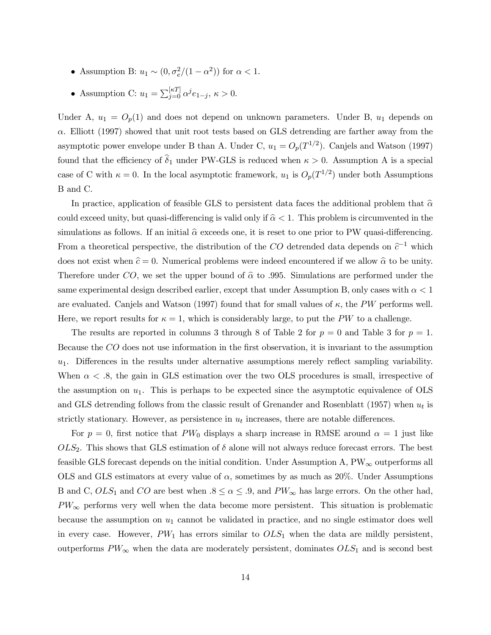- Assumption B:  $u_1 \sim (0, \sigma_e^2/(1-\alpha^2))$  for  $\alpha < 1$ .
- Assumption C:  $u_1 = \sum_{j=0}^{\lbrack \kappa T \rbrack} \alpha^j e_{1-j}, \, \kappa > 0.$

Under A,  $u_1 = O_p(1)$  and does not depend on unknown parameters. Under B,  $u_1$  depends on  $\alpha$ . Elliott (1997) showed that unit root tests based on GLS detrending are farther away from the asymptotic power envelope under B than A. Under C,  $u_1 = O_p(T^{1/2})$ . Canjels and Watson (1997) found that the efficiency of  $\hat{\delta}_1$  under PW-GLS is reduced when  $\kappa > 0$ . Assumption A is a special case of C with  $\kappa = 0$ . In the local asymptotic framework,  $u_1$  is  $O_p(T^{1/2})$  under both Assumptions B and C.

In practice, application of feasible GLS to persistent data faces the additional problem that  $\hat{\alpha}$ could exceed unity, but quasi-differencing is valid only if  $\hat{\alpha} < 1$ . This problem is circumvented in the simulations as follows. If an initial  $\hat{\alpha}$  exceeds one, it is reset to one prior to PW quasi-differencing. From a theoretical perspective, the distribution of the  $CO$  detrended data depends on  $\hat{c}^{-1}$  which does not exist when  $\hat{c} = 0$ . Numerical problems were indeed encountered if we allow  $\hat{\alpha}$  to be unity. Therefore under CO, we set the upper bound of  $\hat{\alpha}$  to .995. Simulations are performed under the same experimental design described earlier, except that under Assumption B, only cases with  $\alpha < 1$ are evaluated. Canjels and Watson (1997) found that for small values of  $\kappa$ , the PW performs well. Here, we report results for  $\kappa = 1$ , which is considerably large, to put the PW to a challenge.

The results are reported in columns 3 through 8 of Table 2 for  $p = 0$  and Table 3 for  $p = 1$ . Because the CO does not use information in the first observation, it is invariant to the assumption  $u_1$ . Differences in the results under alternative assumptions merely reflect sampling variability. When  $\alpha < 0.8$ , the gain in GLS estimation over the two OLS procedures is small, irrespective of the assumption on  $u_1$ . This is perhaps to be expected since the asymptotic equivalence of OLS and GLS detrending follows from the classic result of Grenander and Rosenblatt (1957) when  $u_t$  is strictly stationary. However, as persistence in  $u_t$  increases, there are notable differences.

For  $p = 0$ , first notice that PW<sub>0</sub> displays a sharp increase in RMSE around  $\alpha = 1$  just like  $OLS_2$ . This shows that GLS estimation of  $\delta$  alone will not always reduce forecast errors. The best feasible GLS forecast depends on the initial condition. Under Assumption A,  $PW_\infty$  outperforms all OLS and GLS estimators at every value of  $\alpha$ , sometimes by as much as 20%. Under Assumptions B and C,  $OLS_1$  and CO are best when  $.8 \leq \alpha \leq .9$ , and  $PW_{\infty}$  has large errors. On the other had,  $PW_{\infty}$  performs very well when the data become more persistent. This situation is problematic because the assumption on  $u_1$  cannot be validated in practice, and no single estimator does well in every case. However,  $PW_1$  has errors similar to  $OLS_1$  when the data are mildly persistent, outperforms  $PW_\infty$  when the data are moderately persistent, dominates  $OLS_1$  and is second best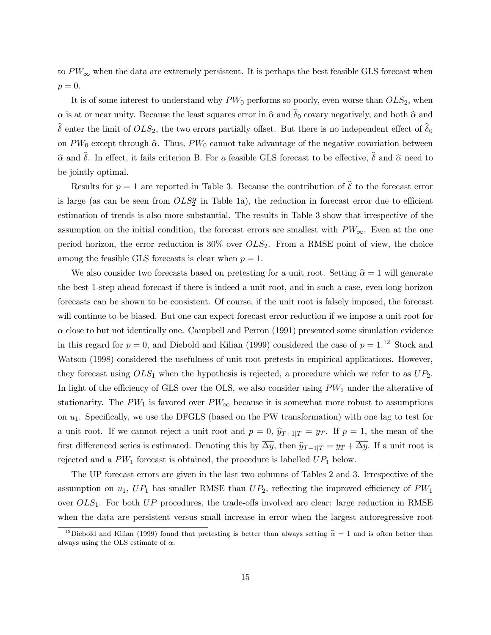to  $PW_\infty$  when the data are extremely persistent. It is perhaps the best feasible GLS forecast when  $p=0.$ 

It is of some interest to understand why  $PW_0$  performs so poorly, even worse than  $OLS_2$ , when  $\alpha$  is at or near unity. Because the least squares error in  $\hat{\alpha}$  and  $\hat{\delta}_0$  covary negatively, and both  $\hat{\alpha}$  and  $\delta$  enter the limit of  $OLS_2$ , the two errors partially offset. But there is no independent effect of  $\delta_0$ on  $PW_0$  except through  $\hat{\alpha}$ . Thus,  $PW_0$  cannot take advantage of the negative covariation between  $\hat{\alpha}$  and  $\hat{\delta}$ . In effect, it fails criterion B. For a feasible GLS forecast to be effective,  $\hat{\delta}$  and  $\hat{\alpha}$  need to be jointly optimal.

Results for  $p = 1$  are reported in Table 3. Because the contribution of  $\hat{\delta}$  to the forecast error is large (as can be seen from  $OLS^{\alpha}_{2}$  in Table 1a), the reduction in forecast error due to efficient estimation of trends is also more substantial. The results in Table 3 show that irrespective of the assumption on the initial condition, the forecast errors are smallest with  $PW_\infty$ . Even at the one period horizon, the error reduction is  $30\%$  over  $OLS_2$ . From a RMSE point of view, the choice among the feasible GLS forecasts is clear when  $p = 1$ .

We also consider two forecasts based on pretesting for a unit root. Setting  $\hat{\alpha} = 1$  will generate the best 1-step ahead forecast if there is indeed a unit root, and in such a case, even long horizon forecasts can be shown to be consistent. Of course, if the unit root is falsely imposed, the forecast will continue to be biased. But one can expect forecast error reduction if we impose a unit root for  $\alpha$  close to but not identically one. Campbell and Perron (1991) presented some simulation evidence in this regard for  $p = 0$ , and Diebold and Kilian (1999) considered the case of  $p = 1.12$  Stock and Watson (1998) considered the usefulness of unit root pretests in empirical applications. However, they forecast using  $OLS_1$  when the hypothesis is rejected, a procedure which we refer to as  $UP_2$ . In light of the efficiency of GLS over the OLS, we also consider using  $PW_1$  under the alterative of stationarity. The PW<sub>1</sub> is favored over  $PW_\infty$  because it is somewhat more robust to assumptions on  $u_1$ . Specifically, we use the DFGLS (based on the PW transformation) with one lag to test for a unit root. If we cannot reject a unit root and  $p = 0$ ,  $\hat{y}_{T+1|T} = y_T$ . If  $p = 1$ , the mean of the first differenced series is estimated. Denoting this by  $\overline{\Delta y}$ , then  $\hat{y}_{T+1|T} = y_T + \overline{\Delta y}$ . If a unit root is rejected and a  $PW_1$  forecast is obtained, the procedure is labelled  $UP_1$  below.

The UP forecast errors are given in the last two columns of Tables 2 and 3. Irrespective of the assumption on  $u_1$ ,  $UP_1$  has smaller RMSE than  $UP_2$ , reflecting the improved efficiency of  $PW_1$ over  $OLS_1$ . For both  $UP$  procedures, the trade-offs involved are clear: large reduction in RMSE when the data are persistent versus small increase in error when the largest autoregressive root

<sup>&</sup>lt;sup>12</sup>Diebold and Kilian (1999) found that pretesting is better than always setting  $\hat{\alpha} = 1$  and is often better than always using the OLS estimate of  $\alpha$ .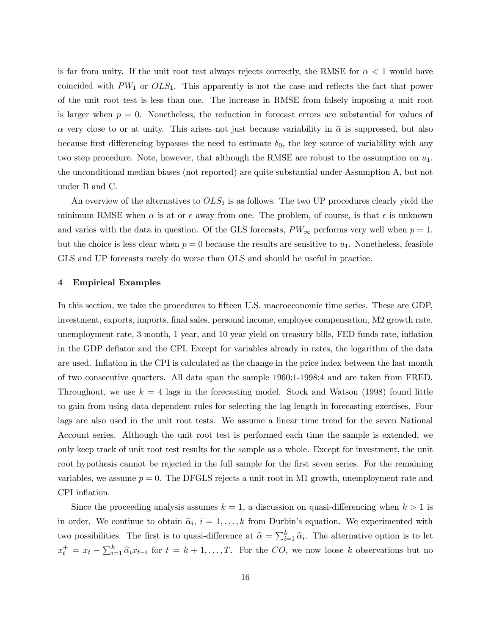is far from unity. If the unit root test always rejects correctly, the RMSE for  $\alpha < 1$  would have coincided with  $PW_1$  or  $OLS_1$ . This apparently is not the case and reflects the fact that power of the unit root test is less than one. The increase in RMSE from falsely imposing a unit root is larger when  $p = 0$ . Nonetheless, the reduction in forecast errors are substantial for values of  $\alpha$  very close to or at unity. This arises not just because variability in  $\hat{\alpha}$  is suppressed, but also because first differencing bypasses the need to estimate  $\delta_0$ , the key source of variability with any two step procedure. Note, however, that although the RMSE are robust to the assumption on  $u_1$ , the unconditional median biases (not reported) are quite substantial under Assumption A, but not under B and C.

An overview of the alternatives to  $OLS_1$  is as follows. The two UP procedures clearly yield the minimum RMSE when  $\alpha$  is at or  $\epsilon$  away from one. The problem, of course, is that  $\epsilon$  is unknown and varies with the data in question. Of the GLS forecasts,  $PW_\infty$  performs very well when  $p=1$ , but the choice is less clear when  $p = 0$  because the results are sensitive to  $u_1$ . Nonetheless, feasible GLS and UP forecasts rarely do worse than OLS and should be useful in practice.

# 4 Empirical Examples

In this section, we take the procedures to fifteen U.S. macroeconomic time series. These are GDP, investment, exports, imports, final sales, personal income, employee compensation, M2 growth rate, unemployment rate, 3 month, 1 year, and 10 year yield on treasury bills, FED funds rate, inflation in the GDP deflator and the CPI. Except for variables already in rates, the logarithm of the data are used. Inflation in the CPI is calculated as the change in the price index between the last month of two consecutive quarters. All data span the sample 1960:1-1998:4 and are taken from FRED. Throughout, we use  $k = 4$  lags in the forecasting model. Stock and Watson (1998) found little to gain from using data dependent rules for selecting the lag length in forecasting exercises. Four lags are also used in the unit root tests. We assume a linear time trend for the seven National Account series. Although the unit root test is performed each time the sample is extended, we only keep track of unit root test results for the sample as a whole. Except for investment, the unit root hypothesis cannot be rejected in the full sample for the first seven series. For the remaining variables, we assume  $p = 0$ . The DFGLS rejects a unit root in M1 growth, unemployment rate and CPI inflation.

Since the proceeding analysis assumes  $k = 1$ , a discussion on quasi-differencing when  $k > 1$  is in order. We continue to obtain  $\hat{\alpha}_i$ ,  $i = 1, \ldots, k$  from Durbin's equation. We experimented with two possibilities. The first is to quasi-difference at  $\hat{\alpha} = \sum_{i=1}^{k} \hat{\alpha}_i$ . The alternative option is to let  $x_t^+ = x_t - \sum_{i=1}^k \hat{\alpha}_i x_{t-i}$  for  $t = k+1,\ldots,T$ . For the CO, we now loose k observations but no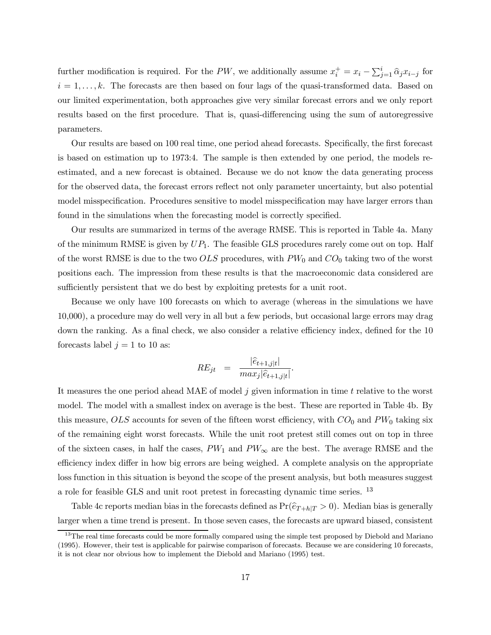further modification is required. For the PW, we additionally assume  $x_i^+ = x_i - \sum_{j=1}^i \hat{\alpha}_j x_{i-j}$  for  $i = 1, \ldots, k$ . The forecasts are then based on four lags of the quasi-transformed data. Based on our limited experimentation, both approaches give very similar forecast errors and we only report results based on the first procedure. That is, quasi-differencing using the sum of autoregressive parameters.

Our results are based on 100 real time, one period ahead forecasts. Specifically, the first forecast is based on estimation up to 1973:4. The sample is then extended by one period, the models reestimated, and a new forecast is obtained. Because we do not know the data generating process for the observed data, the forecast errors reflect not only parameter uncertainty, but also potential model misspecification. Procedures sensitive to model misspecification may have larger errors than found in the simulations when the forecasting model is correctly specified.

Our results are summarized in terms of the average RMSE. This is reported in Table 4a. Many of the minimum RMSE is given by  $UP_1$ . The feasible GLS procedures rarely come out on top. Half of the worst RMSE is due to the two  $OLS$  procedures, with  $PW_0$  and  $CO_0$  taking two of the worst positions each. The impression from these results is that the macroeconomic data considered are sufficiently persistent that we do best by exploiting pretests for a unit root.

Because we only have 100 forecasts on which to average (whereas in the simulations we have 10,000), a procedure may do well very in all but a few periods, but occasional large errors may drag down the ranking. As a final check, we also consider a relative efficiency index, defined for the 10 forecasts label  $j = 1$  to 10 as:

$$
RE_{jt} = \frac{|\hat{e}_{t+1,j|t}|}{max_j |\hat{e}_{t+1,j|t}|}.
$$

It measures the one period ahead MAE of model  $j$  given information in time  $t$  relative to the worst model. The model with a smallest index on average is the best. These are reported in Table 4b. By this measure, OLS accounts for seven of the fifteen worst efficiency, with  $CO_0$  and  $PW_0$  taking six of the remaining eight worst forecasts. While the unit root pretest still comes out on top in three of the sixteen cases, in half the cases,  $PW_1$  and  $PW_\infty$  are the best. The average RMSE and the efficiency index differ in how big errors are being weighed. A complete analysis on the appropriate loss function in this situation is beyond the scope of the present analysis, but both measures suggest a role for feasible GLS and unit root pretest in forecasting dynamic time series. <sup>13</sup>

Table 4c reports median bias in the forecasts defined as  $Pr(\widehat{e}_{T+h|T} > 0)$ . Median bias is generally larger when a time trend is present. In those seven cases, the forecasts are upward biased, consistent

<sup>&</sup>lt;sup>13</sup>The real time forecasts could be more formally compared using the simple test proposed by Diebold and Mariano (1995). However, their test is applicable for pairwise comparison of forecasts. Because we are considering 10 forecasts, it is not clear nor obvious how to implement the Diebold and Mariano (1995) test.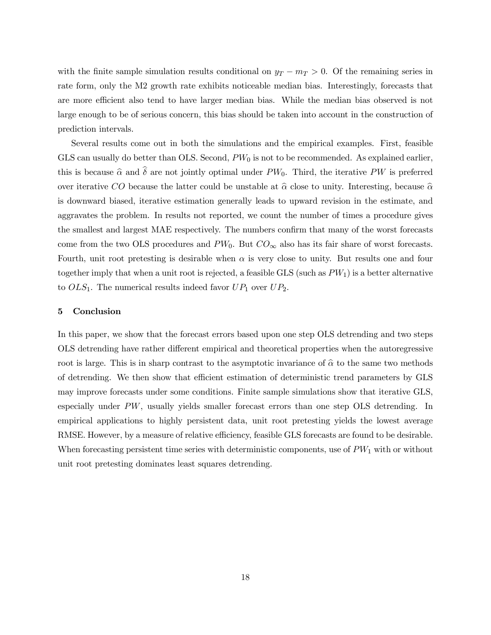with the finite sample simulation results conditional on  $y_T - m_T > 0$ . Of the remaining series in rate form, only the M2 growth rate exhibits noticeable median bias. Interestingly, forecasts that are more efficient also tend to have larger median bias. While the median bias observed is not large enough to be of serious concern, this bias should be taken into account in the construction of prediction intervals.

Several results come out in both the simulations and the empirical examples. First, feasible GLS can usually do better than OLS. Second,  $PW_0$  is not to be recommended. As explained earlier, this is because  $\hat{\alpha}$  and  $\hat{\delta}$  are not jointly optimal under PW<sub>0</sub>. Third, the iterative PW is preferred over iterative CO because the latter could be unstable at  $\hat{\alpha}$  close to unity. Interesting, because  $\hat{\alpha}$ is downward biased, iterative estimation generally leads to upward revision in the estimate, and aggravates the problem. In results not reported, we count the number of times a procedure gives the smallest and largest MAE respectively. The numbers confirm that many of the worst forecasts come from the two OLS procedures and  $PW_0$ . But  $CO_{\infty}$  also has its fair share of worst forecasts. Fourth, unit root pretesting is desirable when  $\alpha$  is very close to unity. But results one and four together imply that when a unit root is rejected, a feasible GLS (such as  $PW_1$ ) is a better alternative to  $OLS_1$ . The numerical results indeed favor  $UP_1$  over  $UP_2$ .

#### 5 Conclusion

In this paper, we show that the forecast errors based upon one step OLS detrending and two steps OLS detrending have rather different empirical and theoretical properties when the autoregressive root is large. This is in sharp contrast to the asymptotic invariance of  $\hat{\alpha}$  to the same two methods of detrending. We then show that efficient estimation of deterministic trend parameters by GLS may improve forecasts under some conditions. Finite sample simulations show that iterative GLS, especially under PW, usually yields smaller forecast errors than one step OLS detrending. In empirical applications to highly persistent data, unit root pretesting yields the lowest average RMSE. However, by a measure of relative efficiency, feasible GLS forecasts are found to be desirable. When forecasting persistent time series with deterministic components, use of  $PW_1$  with or without unit root pretesting dominates least squares detrending.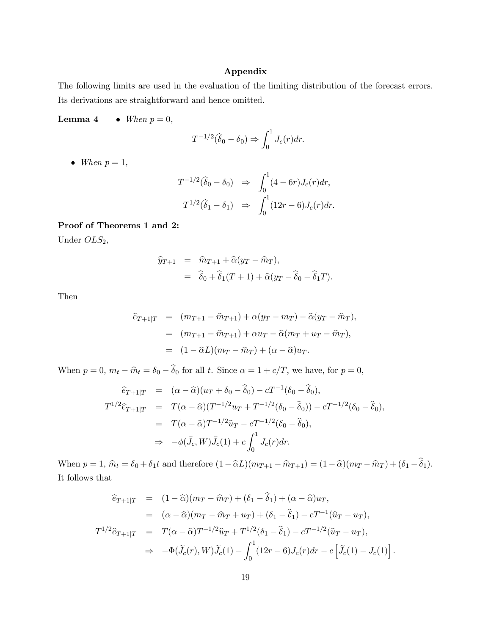# Appendix

The following limits are used in the evaluation of the limiting distribution of the forecast errors. Its derivations are straightforward and hence omitted.

Lemma 4 • When  $p = 0$ ,

$$
T^{-1/2}(\widehat{\delta}_0 - \delta_0) \Rightarrow \int_0^1 J_c(r) dr.
$$

• When  $p=1$ ,

$$
T^{-1/2}(\widehat{\delta}_0 - \delta_0) \Rightarrow \int_0^1 (4 - 6r) J_c(r) dr,
$$
  

$$
T^{1/2}(\widehat{\delta}_1 - \delta_1) \Rightarrow \int_0^1 (12r - 6) J_c(r) dr.
$$

# Proof of Theorems 1 and 2:

Under  $OLS_2$ ,

$$
\hat{y}_{T+1} = \hat{m}_{T+1} + \hat{\alpha}(y_T - \hat{m}_T),
$$
  
=  $\hat{\delta}_0 + \hat{\delta}_1(T+1) + \hat{\alpha}(y_T - \hat{\delta}_0 - \hat{\delta}_1 T).$ 

Then

$$
\begin{aligned}\n\hat{e}_{T+1|T} &= (m_{T+1} - \hat{m}_{T+1}) + \alpha(y_T - m_T) - \hat{\alpha}(y_T - \hat{m}_T), \\
&= (m_{T+1} - \hat{m}_{T+1}) + \alpha u_T - \hat{\alpha}(m_T + u_T - \hat{m}_T), \\
&= (1 - \hat{\alpha}L)(m_T - \hat{m}_T) + (\alpha - \hat{\alpha})u_T.\n\end{aligned}
$$

When  $p = 0$ ,  $m_t - \hat{m}_t = \delta_0 - \hat{\delta}_0$  for all t. Since  $\alpha = 1 + c/T$ , we have, for  $p = 0$ ,

$$
\begin{array}{rcl}\n\widehat{e}_{T+1|T} & = & (\alpha - \widehat{\alpha})(u_T + \delta_0 - \widehat{\delta}_0) - cT^{-1}(\delta_0 - \widehat{\delta}_0), \\
T^{1/2}\widehat{e}_{T+1|T} & = & T(\alpha - \widehat{\alpha})(T^{-1/2}u_T + T^{-1/2}(\delta_0 - \widehat{\delta}_0)) - cT^{-1/2}(\delta_0 - \widehat{\delta}_0), \\
& = & T(\alpha - \widehat{\alpha})T^{-1/2}\widehat{u}_T - cT^{-1/2}(\delta_0 - \widehat{\delta}_0), \\
& \Rightarrow & -\phi(\bar{J}_c, W)\bar{J}_c(1) + c\int_0^1 J_c(r)dr.\n\end{array}
$$

When  $p = 1$ ,  $\hat{m}_t = \delta_0 + \delta_1 t$  and therefore  $(1 - \hat{\alpha}L)(m_{T+1} - \hat{m}_{T+1}) = (1 - \hat{\alpha})(m_T - \hat{m}_T) + (\delta_1 - \hat{\delta}_1)$ . It follows that

$$
\begin{split}\n\hat{e}_{T+1|T} &= (1 - \hat{\alpha})(m_T - \hat{m}_T) + (\delta_1 - \hat{\delta}_1) + (\alpha - \hat{\alpha})u_T, \\
&= (\alpha - \hat{\alpha})(m_T - \hat{m}_T + u_T) + (\delta_1 - \hat{\delta}_1) - cT^{-1}(\hat{u}_T - u_T), \\
T^{1/2}\hat{e}_{T+1|T} &= T(\alpha - \hat{\alpha})T^{-1/2}\hat{u}_T + T^{1/2}(\delta_1 - \hat{\delta}_1) - cT^{-1/2}(\hat{u}_T - u_T), \\
&\Rightarrow -\Phi(\tilde{J}_c(r), W)\tilde{J}_c(1) - \int_0^1 (12r - 6)J_c(r)dr - c\left[\tilde{J}_c(1) - J_c(1)\right].\n\end{split}
$$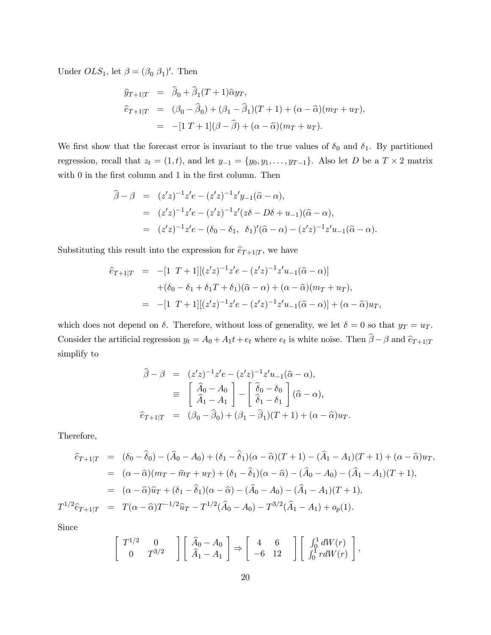Under  $OLS_1$ , let  $\beta = (\beta_0 \beta_1)'$ . Then

$$
\hat{y}_{T+1|T} = \hat{\beta}_0 + \hat{\beta}_1(T+1)\hat{\alpha}y_T,
$$
  
\n
$$
\hat{e}_{T+1|T} = (\beta_0 - \hat{\beta}_0) + (\beta_1 - \hat{\beta}_1)(T+1) + (\alpha - \hat{\alpha})(m_T + u_T),
$$
  
\n
$$
= -[1 T + 1](\beta - \hat{\beta}) + (\alpha - \hat{\alpha})(m_T + u_T).
$$

We first show that the forecast error is invariant to the true values of  $\delta_0$  and  $\delta_1$ . By partitioned regression, recall that  $z_t = (1, t)$ , and let  $y_{-1} = \{y_0, y_1, \ldots, y_{T-1}\}$ . Also let D be a  $T \times 2$  matrix with 0 in the first column and 1 in the first column. Then

$$
\hat{\beta} - \beta = (z'z)^{-1}z'e - (z'z)^{-1}z'y_{-1}(\hat{\alpha} - \alpha),
$$
  
\n
$$
= (z'z)^{-1}z'e - (z'z)^{-1}z'(z\delta - D\delta + u_{-1})(\hat{\alpha} - \alpha),
$$
  
\n
$$
= (z'z)^{-1}z'e - (\delta_0 - \delta_1, \ \delta_1)'(\hat{\alpha} - \alpha) - (z'z)^{-1}z'u_{-1}(\hat{\alpha} - \alpha).
$$

Substituting this result into the expression for  $\hat{e}_{T+1|T}$ , we have

$$
\begin{aligned}\n\hat{e}_{T+1|T} &= -[1 \ T+1][(z'z)^{-1}z'e - (z'z)^{-1}z'u_{-1}(\hat{\alpha} - \alpha)] \\
&+ (\delta_0 - \delta_1 + \delta_1 T + \delta_1)(\hat{\alpha} - \alpha) + (\alpha - \hat{\alpha})(m_T + u_T), \\
&= -[1 \ T+1][(z'z)^{-1}z'e - (z'z)^{-1}z'u_{-1}(\hat{\alpha} - \alpha)] + (\alpha - \hat{\alpha})u_T,\n\end{aligned}
$$

which does not depend on  $\delta$ . Therefore, without loss of generality, we let  $\delta = 0$  so that  $y_T = u_T$ . Consider the artificial regression  $y_t = A_0 + A_1t + e_t$  where  $e_t$  is white noise. Then  $\beta - \beta$  and  $\hat{e}_{T+1|T}$ simplify to

$$
\widehat{\beta} - \beta = (z'z)^{-1}z'e - (z'z)^{-1}z'u_{-1}(\widehat{\alpha} - \alpha),
$$
  
\n
$$
\equiv \begin{bmatrix} \widehat{A}_0 - A_0 \\ \widehat{A}_1 - A_1 \end{bmatrix} - \begin{bmatrix} \widehat{\delta}_0 - \delta_0 \\ \widehat{\delta}_1 - \delta_1 \end{bmatrix} (\widehat{\alpha} - \alpha),
$$
  
\n
$$
\widehat{e}_{T+1|T} = (\beta_0 - \widehat{\beta}_0) + (\beta_1 - \widehat{\beta}_1)(T+1) + (\alpha - \widehat{\alpha})u_T.
$$

Therefore,

$$
\begin{aligned}\n\hat{e}_{T+1|T} &= (\delta_0 - \hat{\delta}_0) - (\hat{A}_0 - A_0) + (\delta_1 - \hat{\delta}_1)(\alpha - \hat{\alpha})(T+1) - (\hat{A}_1 - A_1)(T+1) + (\alpha - \hat{\alpha})u_T, \\
&= (\alpha - \hat{\alpha})(m_T - \hat{m}_T + u_T) + (\delta_1 - \hat{\delta}_1)(\alpha - \hat{\alpha}) - (\hat{A}_0 - A_0) - (\hat{A}_1 - A_1)(T+1), \\
&= (\alpha - \hat{\alpha})\hat{u}_T + (\delta_1 - \hat{\delta}_1)(\alpha - \hat{\alpha}) - (\hat{A}_0 - A_0) - (\hat{A}_1 - A_1)(T+1), \\
T^{1/2}\hat{e}_{T+1|T} &= T(\alpha - \hat{\alpha})T^{-1/2}\hat{u}_T - T^{1/2}(\hat{A}_0 - A_0) - T^{3/2}(\hat{A}_1 - A_1) + o_p(1).\n\end{aligned}
$$

Since

$$
\left[\begin{array}{cc} T^{1/2} & 0 \\ 0 & T^{3/2} \end{array}\right] \left[\begin{array}{c} \widehat{A}_0 - A_0 \\ \widehat{A}_1 - A_1 \end{array}\right] \Rightarrow \left[\begin{array}{cc} 4 & 6 \\ -6 & 12 \end{array}\right] \left[\begin{array}{c} \int_0^1 dW(r) \\ \int_0^1 r dW(r) \end{array}\right],
$$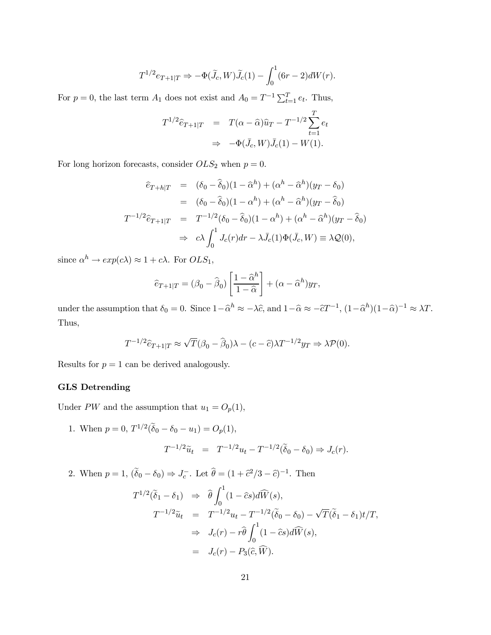$$
T^{1/2}e_{T+1|T} \Rightarrow -\Phi(\widetilde{J}_c, W)\widetilde{J}_c(1) - \int_0^1 (6r-2)dW(r).
$$

For  $p = 0$ , the last term  $A_1$  does not exist and  $A_0 = T^{-1} \sum_{t=1}^{T} e_t$ . Thus,

$$
T^{1/2}\widehat{e}_{T+1|T} = T(\alpha - \widehat{\alpha})\widehat{u}_T - T^{-1/2}\sum_{t=1}^T e_t
$$
  

$$
\Rightarrow -\Phi(\bar{J}_c, W)\bar{J}_c(1) - W(1).
$$

For long horizon forecasts, consider  $OLS_2$  when  $p = 0$ .

$$
\begin{aligned}\n\hat{e}_{T+h|T} &= (\delta_0 - \hat{\delta}_0)(1 - \hat{\alpha}^h) + (\alpha^h - \hat{\alpha}^h)(y_T - \delta_0) \\
&= (\delta_0 - \hat{\delta}_0)(1 - \alpha^h) + (\alpha^h - \hat{\alpha}^h)(y_T - \hat{\delta}_0) \\
T^{-1/2}\hat{e}_{T+1|T} &= T^{-1/2}(\delta_0 - \hat{\delta}_0)(1 - \alpha^h) + (\alpha^h - \hat{\alpha}^h)(y_T - \hat{\delta}_0) \\
&\Rightarrow c\lambda \int_0^1 J_c(r)dr - \lambda \bar{J}_c(1)\Phi(\bar{J}_c, W) \equiv \lambda \mathcal{Q}(0),\n\end{aligned}
$$

since  $\alpha^h \to exp(c\lambda) \approx 1 + c\lambda$ . For  $OLS_1$ ,

$$
\widehat{e}_{T+1|T} = (\beta_0 - \widehat{\beta}_0) \left[ \frac{1 - \widehat{\alpha}^h}{1 - \widehat{\alpha}} \right] + (\alpha - \widehat{\alpha}^h) y_T,
$$

under the assumption that  $\delta_0 = 0$ . Since  $1 - \hat{\alpha}^h \approx -\lambda \hat{c}$ , and  $1 - \hat{\alpha} \approx -\hat{c}T^{-1}$ ,  $(1 - \hat{\alpha}^h)(1 - \hat{\alpha})^{-1} \approx \lambda T$ . Thus,

$$
T^{-1/2}\widehat{e}_{T+1|T}\approx \sqrt{T}(\beta_0-\widehat{\beta}_0)\lambda-(c-\widehat{c})\lambda T^{-1/2}y_T\Rightarrow \lambda\mathcal{P}(0).
$$

Results for  $p = 1$  can be derived analogously.

# GLS Detrending

Under PW and the assumption that  $u_1 = O_p(1)$ ,

1. When  $p = 0$ ,  $T^{1/2}(\tilde{\delta}_0 - \delta_0 - u_1) = O_p(1)$ ,  $T^{-1/2}\tilde{u}_t = T^{-1/2}u_t - T^{-1/2}(\tilde{\delta}_0 - \delta_0) \Rightarrow J_c(r).$ 

2. When  $p = 1$ ,  $(\tilde{\delta}_0 - \delta_0) \Rightarrow J_c^-$ . Let  $\hat{\theta} = (1 + \hat{c}^2/3 - \hat{c})^{-1}$ . Then

$$
T^{1/2}(\tilde{\delta}_1 - \delta_1) \Rightarrow \hat{\theta} \int_0^1 (1 - \hat{c}s) d\widehat{W}(s),
$$
  
\n
$$
T^{-1/2} \tilde{u}_t = T^{-1/2} u_t - T^{-1/2} (\tilde{\delta}_0 - \delta_0) - \sqrt{T} (\tilde{\delta}_1 - \delta_1) t / T,
$$
  
\n
$$
\Rightarrow J_c(r) - r \hat{\theta} \int_0^1 (1 - \hat{c}s) d\widehat{W}(s),
$$
  
\n
$$
= J_c(r) - P_3(\hat{c}, \widehat{W}).
$$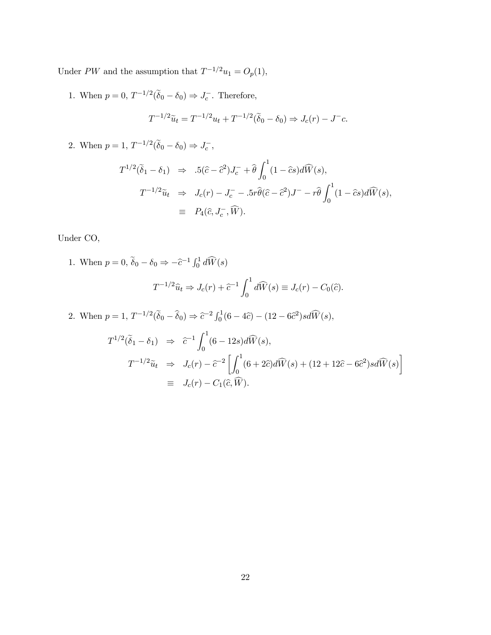Under PW and the assumption that  $T^{-1/2}u_1 = O_p(1)$ ,

1. When  $p = 0$ ,  $T^{-1/2}(\tilde{\delta}_0 - \delta_0) \Rightarrow J_c^-$ . Therefore,  $T^{-1/2}\tilde{u}_t = T^{-1/2}u_t + T^{-1/2}(\tilde{\delta}_0 - \delta_0) \Rightarrow J_c(r) - J^-c.$ 

2. When  $p = 1, T^{-1/2}(\tilde{\delta}_0 - \delta_0) \Rightarrow J_c^-$ ,

$$
T^{1/2}(\tilde{\delta}_1 - \delta_1) \Rightarrow 5(\hat{c} - \hat{c}^2)J_c^- + \hat{\theta} \int_0^1 (1 - \hat{c}s)d\widehat{W}(s),
$$
  

$$
T^{-1/2}\tilde{u}_t \Rightarrow J_c(r) - J_c^- - 5r\hat{\theta}(\hat{c} - \hat{c}^2)J^- - r\hat{\theta} \int_0^1 (1 - \hat{c}s)d\widehat{W}(s),
$$
  

$$
\equiv P_4(\hat{c}, J_c^-, \widehat{W}).
$$

Under CO,

1. When  $p = 0$ ,  $\tilde{\delta}_0 - \delta_0 \Rightarrow -\hat{c}^{-1} \int_0^1 d\widehat{W}(s)$ 

$$
T^{-1/2}\widehat{u}_t \Rightarrow J_c(r) + \widehat{c}^{-1} \int_0^1 d\widehat{W}(s) \equiv J_c(r) - C_0(\widehat{c}).
$$

2. When  $p = 1, T^{-1/2}(\tilde{\delta}_0 - \hat{\delta}_0) \Rightarrow \tilde{\epsilon}^{-2} \int_0^1 (6 - 4\tilde{\epsilon}) - (12 - 6\tilde{\epsilon}^2) s d\tilde{W}(s),$ 

$$
T^{1/2}(\tilde{\delta}_1 - \delta_1) \Rightarrow \tilde{c}^{-1} \int_0^1 (6 - 12s) d\widehat{W}(s),
$$
  

$$
T^{-1/2} \tilde{u}_t \Rightarrow J_c(r) - \tilde{c}^{-2} \left[ \int_0^1 (6 + 2\tilde{c}) d\widehat{W}(s) + (12 + 12\tilde{c} - 6\tilde{c}^2) s d\widehat{W}(s) \right]
$$
  

$$
\equiv J_c(r) - C_1(\tilde{c}, \widehat{W}).
$$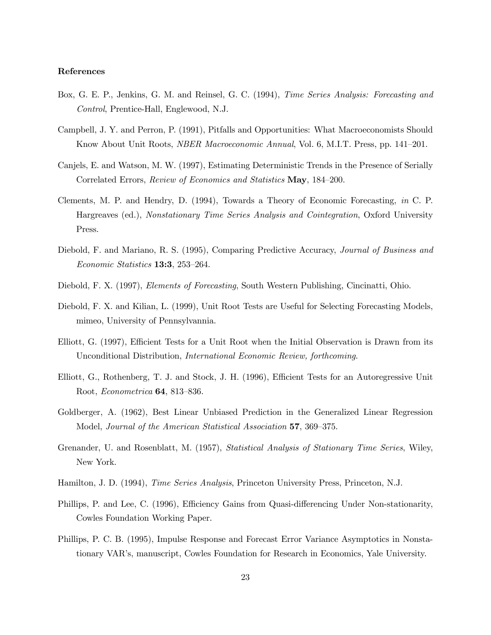# References

- Box, G. E. P., Jenkins, G. M. and Reinsel, G. C. (1994), *Time Series Analysis: Forecasting and* Control, Prentice-Hall, Englewood, N.J.
- Campbell, J. Y. and Perron, P. (1991), Pitfalls and Opportunities: What Macroeconomists Should Know About Unit Roots, NBER Macroeconomic Annual, Vol. 6, M.I.T. Press, pp. 141—201.
- Canjels, E. and Watson, M. W. (1997), Estimating Deterministic Trends in the Presence of Serially Correlated Errors, Review of Economics and Statistics May, 184—200.
- Clements, M. P. and Hendry, D. (1994), Towards a Theory of Economic Forecasting, in C. P. Hargreaves (ed.), Nonstationary Time Series Analysis and Cointegration, Oxford University Press.
- Diebold, F. and Mariano, R. S. (1995), Comparing Predictive Accuracy, Journal of Business and Economic Statistics 13:3, 253—264.
- Diebold, F. X. (1997), Elements of Forecasting, South Western Publishing, Cincinatti, Ohio.
- Diebold, F. X. and Kilian, L. (1999), Unit Root Tests are Useful for Selecting Forecasting Models, mimeo, University of Pennsylvannia.
- Elliott, G. (1997), Efficient Tests for a Unit Root when the Initial Observation is Drawn from its Unconditional Distribution, International Economic Review, forthcoming.
- Elliott, G., Rothenberg, T. J. and Stock, J. H. (1996), Efficient Tests for an Autoregressive Unit Root, Econometrica 64, 813—836.
- Goldberger, A. (1962), Best Linear Unbiased Prediction in the Generalized Linear Regression Model, Journal of the American Statistical Association 57, 369—375.
- Grenander, U. and Rosenblatt, M. (1957), Statistical Analysis of Stationary Time Series, Wiley, New York.
- Hamilton, J. D. (1994), Time Series Analysis, Princeton University Press, Princeton, N.J.
- Phillips, P. and Lee, C. (1996), Efficiency Gains from Quasi-differencing Under Non-stationarity, Cowles Foundation Working Paper.
- Phillips, P. C. B. (1995), Impulse Response and Forecast Error Variance Asymptotics in Nonstationary VAR's, manuscript, Cowles Foundation for Research in Economics, Yale University.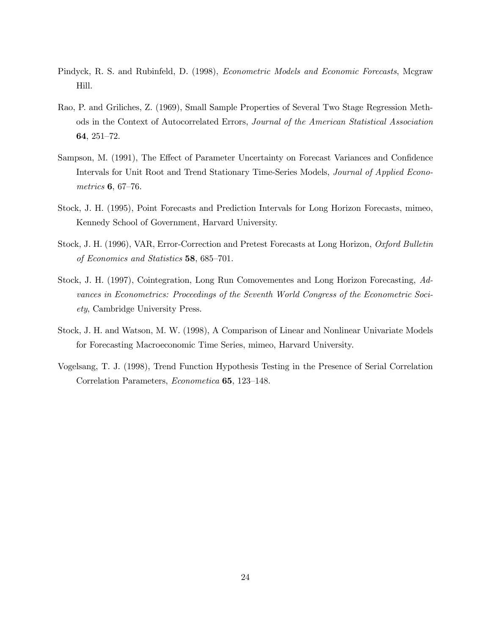- Pindyck, R. S. and Rubinfeld, D. (1998), Econometric Models and Economic Forecasts, Mcgraw Hill.
- Rao, P. and Griliches, Z. (1969), Small Sample Properties of Several Two Stage Regression Methods in the Context of Autocorrelated Errors, Journal of the American Statistical Association 64, 251—72.
- Sampson, M. (1991), The Effect of Parameter Uncertainty on Forecast Variances and Confidence Intervals for Unit Root and Trend Stationary Time-Series Models, Journal of Applied Econometrics 6, 67—76.
- Stock, J. H. (1995), Point Forecasts and Prediction Intervals for Long Horizon Forecasts, mimeo, Kennedy School of Government, Harvard University.
- Stock, J. H. (1996), VAR, Error-Correction and Pretest Forecasts at Long Horizon, Oxford Bulletin of Economics and Statistics 58, 685—701.
- Stock, J. H. (1997), Cointegration, Long Run Comovementes and Long Horizon Forecasting, Advances in Econometrics: Proceedings of the Seventh World Congress of the Econometric Society, Cambridge University Press.
- Stock, J. H. and Watson, M. W. (1998), A Comparison of Linear and Nonlinear Univariate Models for Forecasting Macroeconomic Time Series, mimeo, Harvard University.
- Vogelsang, T. J. (1998), Trend Function Hypothesis Testing in the Presence of Serial Correlation Correlation Parameters, Econometica 65, 123—148.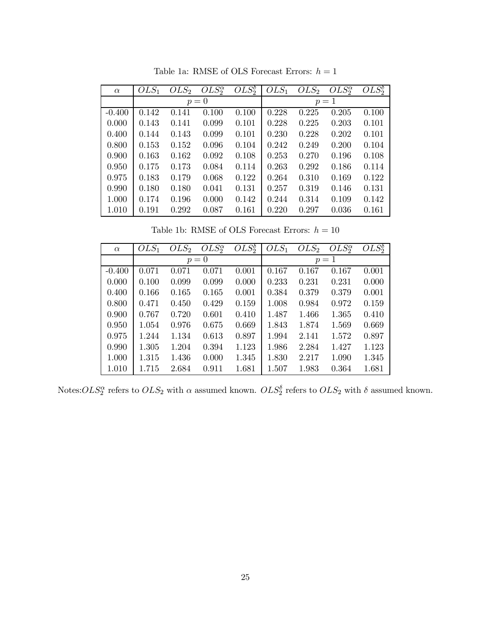|          | $OLS_1$ | OLS <sub>2</sub> | $OLS^{\alpha}_{2}$ | $OLS^{\delta}_{2}$ | $OLS_1$ | OLS <sub>2</sub> | $OLS^{\alpha}_{2}$ | $OLS^{\delta}$ |
|----------|---------|------------------|--------------------|--------------------|---------|------------------|--------------------|----------------|
| $\alpha$ |         |                  |                    |                    |         |                  |                    |                |
|          |         |                  | $p=0$              |                    |         |                  | $p=1$              |                |
| $-0.400$ | 0.142   | 0.141            | 0.100              | 0.100              | 0.228   | 0.225            | 0.205              | 0.100          |
| 0.000    | 0.143   | 0.141            | 0.099              | 0.101              | 0.228   | 0.225            | 0.203              | 0.101          |
| 0.400    | 0.144   | 0.143            | 0.099              | 0.101              | 0.230   | 0.228            | 0.202              | 0.101          |
| 0.800    | 0.153   | 0.152            | 0.096              | 0.104              | 0.242   | 0.249            | 0.200              | 0.104          |
| 0.900    | 0.163   | 0.162            | 0.092              | 0.108              | 0.253   | 0.270            | 0.196              | 0.108          |
| 0.950    | 0.175   | 0.173            | 0.084              | 0.114              | 0.263   | 0.292            | 0.186              | 0.114          |
| 0.975    | 0.183   | 0.179            | 0.068              | 0.122              | 0.264   | 0.310            | 0.169              | 0.122          |
| 0.990    | 0.180   | 0.180            | 0.041              | 0.131              | 0.257   | 0.319            | 0.146              | 0.131          |
| 1.000    | 0.174   | 0.196            | 0.000              | 0.142              | 0.244   | 0.314            | 0.109              | 0.142          |
| 1.010    | 0.191   | 0.292            | 0.087              | 0.161              | 0.220   | 0.297            | 0.036              | 0.161          |

Table 1a: RMSE of OLS Forecast Errors:  $h=1$ 

Table 1b: RMSE of OLS Forecast Errors:  $h=10\,$ 

| $\alpha$ | $OLS_1$ | OLS <sub>2</sub> | $OLS^{\alpha}_{2}$ | $OLS_2^{\delta}$ | $OLS_1$ | OLS <sub>2</sub> | $OLS^{\alpha}_{2}$ | $OLS^{\delta}$ |
|----------|---------|------------------|--------------------|------------------|---------|------------------|--------------------|----------------|
|          |         |                  | $p=0$              |                  |         |                  | $p=1$              |                |
| $-0.400$ | 0.071   | 0.071            | 0.071              | 0.001            | 0.167   | 0.167            | 0.167              | 0.001          |
| 0.000    | 0.100   | 0.099            | 0.099              | 0.000            | 0.233   | 0.231            | 0.231              | 0.000          |
| 0.400    | 0.166   | 0.165            | 0.165              | 0.001            | 0.384   | 0.379            | 0.379              | 0.001          |
| 0.800    | 0.471   | 0.450            | 0.429              | 0.159            | 1.008   | 0.984            | 0.972              | 0.159          |
| 0.900    | 0.767   | 0.720            | 0.601              | 0.410            | 1.487   | 1.466            | 1.365              | 0.410          |
| 0.950    | 1.054   | 0.976            | 0.675              | 0.669            | 1.843   | 1.874            | 1.569              | 0.669          |
| 0.975    | 1.244   | 1.134            | 0.613              | 0.897            | 1.994   | 2.141            | 1.572              | 0.897          |
| 0.990    | 1.305   | 1.204            | 0.394              | 1.123            | 1.986   | 2.284            | 1.427              | 1.123          |
| 1.000    | 1.315   | 1.436            | 0.000              | 1.345            | 1.830   | 2.217            | 1.090              | 1.345          |
| 1.010    | 1.715   | 2.684            | 0.911              | 1.681            | 1.507   | 1.983            | 0.364              | 1.681          |

Notes: $OLS^{\alpha}_{2}$  refers to  $OLS_2$  with  $\alpha$  assumed known.  $OLS^{\delta}_{2}$  refers to  $OLS_2$  with  $\delta$  assumed known.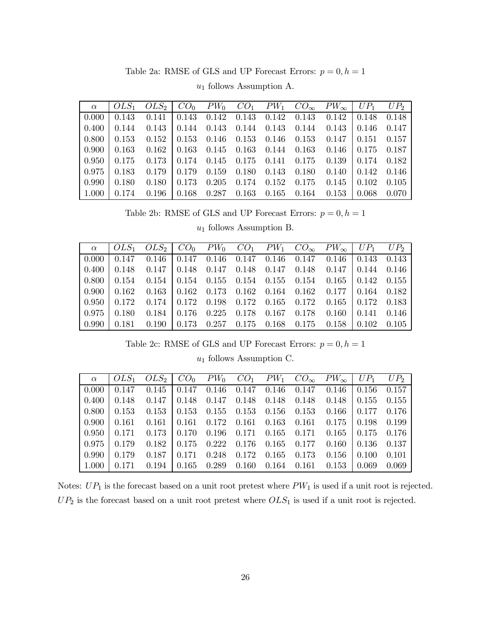Table 2a: RMSE of GLS and UP Forecast Errors:  $p=0, h=1$ 

| $\alpha$     |                                                                                                         |  |  |  |       |
|--------------|---------------------------------------------------------------------------------------------------------|--|--|--|-------|
| $\mid$ 0.000 | $0.143$ $0.141$ $0.143$ $0.142$ $0.143$ $0.142$ $0.143$ $0.143$ $0.142$ $0.148$ $0.148$                 |  |  |  |       |
| $\mid$ 0.400 | $\vert$ 0.144 0.143   0.144 0.143 0.144 0.143 0.144 0.143   0.146 0.147                                 |  |  |  |       |
| $\mid$ 0.800 | $\vert$ 0.153 0.152 0.153 0.146 0.153 0.146 0.153 0.147 0.151 0.157                                     |  |  |  |       |
| $\pm 0.900$  | $\vert$ 0.163 0.162 $\vert$ 0.163 0.145 0.163 0.144 0.163 0.146 $\vert$ 0.175 0.187                     |  |  |  |       |
| $\pm 0.950$  | $0.175$ $0.173$   $0.174$ $0.145$ $0.175$ $0.141$ $0.175$ $0.139$   $0.174$ $0.182$                     |  |  |  |       |
| 0.975        | $\vert$ 0.183 0.179   0.179 0.159 0.180 0.143 0.180 0.140   0.142 0.146                                 |  |  |  |       |
| $\mid$ 0.990 | $0.180 \quad 0.180 \quad 0.173 \quad 0.205 \quad 0.174 \quad 0.152 \quad 0.175 \quad 0.145 \quad 0.102$ |  |  |  | 0.105 |
| 1.000        | $0.174$ $0.196$   $0.168$ $0.287$ $0.163$ $0.165$ $0.164$ $0.153$   $0.068$                             |  |  |  | 0.070 |

 $u_1$  follows Assumption A.

Table 2b: RMSE of GLS and UP Forecast Errors:  $p=0, h=1$ 

 $u_1$  follows Assumption B.  $\,$ 

|  | $\alpha$   OLS <sub>1</sub> OLS <sub>2</sub>   CO <sub>0</sub> PW <sub>0</sub> CO <sub>1</sub> PW <sub>1</sub> CO <sub>∞</sub> PW <sub>∞</sub>   UP <sub>1</sub> UP <sub>2</sub> |  |  |  |  |
|--|----------------------------------------------------------------------------------------------------------------------------------------------------------------------------------|--|--|--|--|
|  | $\begin{bmatrix} 0.000 & 0.147 & 0.146 \end{bmatrix}$ 0.147 0.146 0.147 0.146 0.147 0.146 0.143 0.143                                                                            |  |  |  |  |
|  | $\vert$ 0.400 $\vert$ 0.148 0.147 $\vert$ 0.148 0.147 0.148 0.147 0.148 0.147 $\vert$ 0.144 0.146                                                                                |  |  |  |  |
|  | $\vert 0.800 \vert 0.154 \vert 0.154 \vert 0.154 \vert 0.155 \vert 0.154 \vert 0.155 \vert 0.154 \vert 0.165 \vert 0.142 \vert 0.155$                                            |  |  |  |  |
|  | $\vert 0.900 \vert 0.162 \vert 0.163 \vert 0.162 \vert 0.173 \vert 0.162 \vert 0.164 \vert 0.162 \vert 0.177 \vert 0.164 \vert 0.182$                                            |  |  |  |  |
|  | $\vert 0.950 \vert 0.172 \vert 0.174 \vert 0.172 \vert 0.198 \vert 0.172 \vert 0.165 \vert 0.172 \vert 0.165 \vert 0.172 \vert 0.183$                                            |  |  |  |  |
|  | $\vert 0.975 \vert 0.180 \vert 0.184 \vert 0.176 \vert 0.225 \vert 0.178 \vert 0.167 \vert 0.178 \vert 0.160 \vert 0.141 \vert 0.146$                                            |  |  |  |  |
|  | $\vert 0.990 \vert 0.181 \vert 0.190 \vert 0.173 \vert 0.257 \vert 0.175 \vert 0.168 \vert 0.175 \vert 0.158 \vert 0.102 \vert 0.105$                                            |  |  |  |  |

Table 2c: RMSE of GLS and UP Forecast Errors:  $p = 0, h = 1$ 

 $u_1$  follows Assumption C.

| $\alpha$     |       | $\begin{bmatrix} OLS_1 & OLS_2 & CO_0 & PW_0 & CO_1 & PW_1 & CO_{\infty} & PW_{\infty} & UP_1 & UP_2 \end{bmatrix}$                   |  |  |                                                                                                       |  |
|--------------|-------|---------------------------------------------------------------------------------------------------------------------------------------|--|--|-------------------------------------------------------------------------------------------------------|--|
| 0.000        |       | $0.147$ $0.145$ $0.147$ $0.146$ $0.147$ $0.146$ $0.147$ $0.146$ $0.156$ $0.157$                                                       |  |  |                                                                                                       |  |
|              |       | $\vert$ 0.400 $\vert$ 0.148 0.147 $\vert$ 0.148 0.147 0.148 0.148 0.148 0.148 $\vert$ 0.155 0.155                                     |  |  |                                                                                                       |  |
|              |       | $\vert 0.800 \vert 0.153 \vert 0.153 \vert 0.153 \vert 0.155 \vert 0.153 \vert 0.156 \vert 0.153 \vert 0.166 \vert 0.177 \vert 0.176$ |  |  |                                                                                                       |  |
|              |       | $\vert 0.900 \vert 0.161 \vert 0.161 \vert 0.161 \vert 0.172 \vert 0.161 \vert 0.163 \vert 0.161 \vert 0.175 \vert 0.198 \vert 0.199$ |  |  |                                                                                                       |  |
| 0.950        |       | $0.171$ $0.173$ $0.170$ $0.196$ $0.171$ $0.165$ $0.171$ $0.165$ $0.175$ $0.176$                                                       |  |  |                                                                                                       |  |
| $\pm 0.975$  |       | $\vert$ 0.179 0.182 $\vert$ 0.175 0.222 0.176 0.165 0.177 0.160 $\vert$ 0.136 0.137                                                   |  |  |                                                                                                       |  |
| $\mid$ 0.990 | 0.179 | $0.187 \mid 0.171 \quad 0.248 \quad 0.172 \quad 0.165 \quad 0.173 \quad 0.156 \mid 0.100 \quad 0.101$                                 |  |  |                                                                                                       |  |
| $\mid$ 1.000 | 0.171 |                                                                                                                                       |  |  | $0.194 \mid 0.165 \quad 0.289 \quad 0.160 \quad 0.164 \quad 0.161 \quad 0.153 \mid 0.069 \quad 0.069$ |  |

Notes:  $UP_1$  is the forecast based on a unit root pretest where  $PW_1$  is used if a unit root is rejected.  $UP_2$  is the forecast based on a unit root pretest where  $OLS_1$  is used if a unit root is rejected.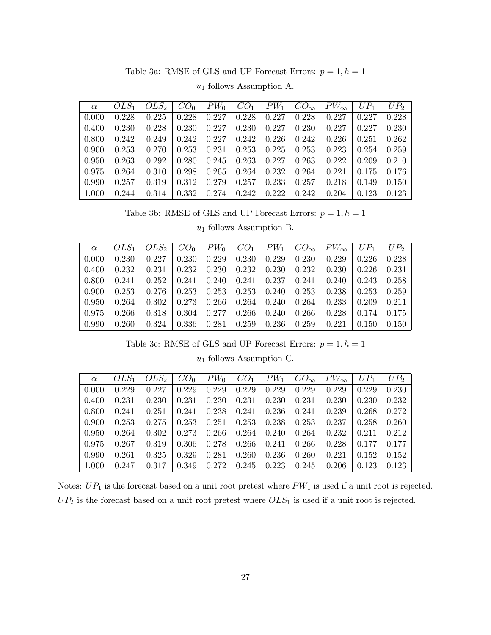Table 3a: RMSE of GLS and UP Forecast Errors:  $p = 1, h = 1$ 

| $\alpha$     | $OLS_1$ | $OLS_2$ | CO <sub>0</sub> | $PW_0$ |       |       |       | $CO_1$ $PW_1$ $CO_{\infty}$ $PW_{\infty}$   $UP_1$ |       | $UP_2$ |
|--------------|---------|---------|-----------------|--------|-------|-------|-------|----------------------------------------------------|-------|--------|
| 0.000        | 0.228   | 0.225   | 0.228           | 0.227  | 0.228 | 0.227 | 0.228 | 0.227                                              | 0.227 | 0.228  |
| 0.400        | 0.230   | 0.228   | 0.230           | 0.227  | 0.230 | 0.227 | 0.230 | 0.227                                              | 0.227 | 0.230  |
| $\mid 0.800$ | 0.242   | 0.249   | 0.242           | 0.227  | 0.242 | 0.226 | 0.242 | 0.226                                              | 0.251 | 0.262  |
| 0.900        | 0.253   | 0.270   | 0.253           | 0.231  | 0.253 | 0.225 | 0.253 | 0.223                                              | 0.254 | 0.259  |
| $\mid$ 0.950 | 0.263   | 0.292   | 0.280           | 0.245  | 0.263 | 0.227 | 0.263 | 0.222                                              | 0.209 | 0.210  |
| 0.975        | 0.264   | 0.310   | 0.298           | 0.265  | 0.264 | 0.232 | 0.264 | 0.221                                              | 0.175 | 0.176  |
| 0.990        | 0.257   | 0.319   | 0.312           | 0.279  | 0.257 | 0.233 | 0.257 | 0.218                                              | 0.149 | 0.150  |
| 1.000        | 0.244   | 0.314   | 0.332           | 0.274  | 0.242 | 0.222 | 0.242 | 0.204                                              | 0.123 | 0.123  |

 $u_1$  follows Assumption A.

Table 3b: RMSE of GLS and UP Forecast Errors:  $p=1, h=1$ 

 $u_1$  follows Assumption B.  $\,$ 

| $\alpha$            |       | $\begin{array}{cccc} \n\begin{bmatrix} OLS_1 & OLS_2 \end{bmatrix} & CO_0 & PW_0 & CO_1 & PW_1 & CO_{\infty} & PW_{\infty} \n\end{array} \begin{array}{cccc} UP_1 & \n\end{array}$ |  |  |                                                                    |                               | $UP_2$ |
|---------------------|-------|------------------------------------------------------------------------------------------------------------------------------------------------------------------------------------|--|--|--------------------------------------------------------------------|-------------------------------|--------|
| 0.000               | 0.230 |                                                                                                                                                                                    |  |  | $0.227 \mid 0.230 \quad 0.229 \quad 0.230 \quad 0.229 \quad 0.230$ | $0.229 \pm 0.226 \pm 0.228$   |        |
| 0.400               |       | $0.232$ $0.231$ $0.232$ $0.230$ $0.232$ $0.230$ $0.232$ $0.230$ $0.230$ $0.226$ $0.231$                                                                                            |  |  |                                                                    |                               |        |
| 0.800               | 0.241 | $0.252 \pm 0.241$ $0.240$ $0.241$ $0.237$ $0.241$ $0.240 \pm 0.243$ $0.258$                                                                                                        |  |  |                                                                    |                               |        |
| 0.900               |       | $0.253$ $0.276$ $0.253$ $0.253$ $0.253$ $0.240$ $0.253$                                                                                                                            |  |  |                                                                    | $0.238 \pm 0.253 \pm 0.259$   |        |
| 0.950               | 0.264 |                                                                                                                                                                                    |  |  | $0.302 \pm 0.273$ $0.266$ $0.264$ $0.240$ $0.264$                  | $0.233 \pm 0.209 \quad 0.211$ |        |
| 0.975               | 0.266 |                                                                                                                                                                                    |  |  | $0.318 \pm 0.304$ $0.277$ $0.266$ $0.240$ $0.266$                  | $0.228 \pm 0.174 \pm 0.175$   |        |
| $\mid$ 0.990 $\mid$ | 0.260 |                                                                                                                                                                                    |  |  | $0.324 \pm 0.336$ $0.281$ $0.259$ $0.236$ $0.259$                  | $0.221 \pm 0.150 \pm 0.150$   |        |

Table 3c: RMSE of GLS and UP Forecast Errors:  $p = 1, h = 1$ 

 $u_1$  follows Assumption C.

| $\alpha$ |       | $OLS_1$ $OLS_2$   $CO_0$ $PW_0$ $CO_1$ $PW_1$ $CO_{\infty}$ $PW_{\infty}$   $UP_1$ |       |       |                         |       |                                 |                                                                                                       |                                | $UP_2$ |
|----------|-------|------------------------------------------------------------------------------------|-------|-------|-------------------------|-------|---------------------------------|-------------------------------------------------------------------------------------------------------|--------------------------------|--------|
| 0.000    | 0.229 | 0.227                                                                              | 0.229 |       | $0.229$ $0.229$         |       | $0.229$ $0.229$                 | 0.229                                                                                                 | $\mid 0.229 \mid$              | 0.230  |
| 0.400    | 0.231 |                                                                                    |       |       |                         |       |                                 | $0.230 \mid 0.231 \quad 0.230 \quad 0.231 \quad 0.230 \quad 0.231 \quad 0.230 \mid 0.230 \quad 0.232$ |                                |        |
| 0.800    | 0.241 | 0.251                                                                              | 0.241 |       | $0.238$ $0.241$ $0.236$ |       | 0.241                           | 0.239                                                                                                 | $\pm 0.268$                    | 0.272  |
| 0.900    | 0.253 | 0.275                                                                              | 0.253 |       | $0.251$ $0.253$ $0.238$ |       | 0.253                           | $0.237 \pm 0.258$                                                                                     |                                | 0.260  |
| 0.950    | 0.264 | 0.302                                                                              | 0.273 |       |                         |       | $0.266$ $0.264$ $0.240$ $0.264$ |                                                                                                       | $0.232 \mid 0.211 \quad 0.212$ |        |
| 0.975    | 0.267 | 0.319                                                                              | 0.306 |       |                         |       | $0.278$ $0.266$ $0.241$ $0.266$ |                                                                                                       | $0.228$   $0.177$ 0.177        |        |
| 0.990    | 0.261 | 0.325                                                                              | 0.329 |       | $0.281$ $0.260$         | 0.236 | 0.260                           | 0.221                                                                                                 | $\pm 0.152$                    | 0.152  |
| 1.000    | 0.247 | 0.317                                                                              | 0.349 | 0.272 | $0.245$ $0.223$         |       | 0.245                           | 0.206                                                                                                 | $\pm 0.123$                    | 0.123  |

Notes:  $UP_1$  is the forecast based on a unit root pretest where  $PW_1$  is used if a unit root is rejected.  $UP_2$  is the forecast based on a unit root pretest where  $OLS_1$  is used if a unit root is rejected.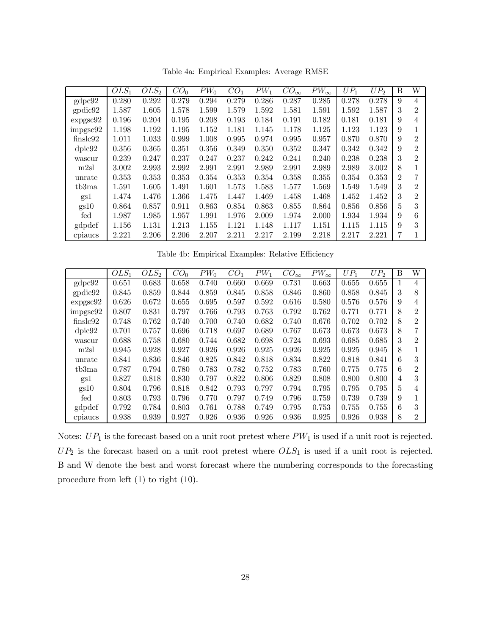|                            | $OLS_1$ | OLS <sub>2</sub> | CO <sub>0</sub> | $PW_0$ | CO <sub>1</sub> | $PW_1$ | $CO_{\infty}$ | $PW_{\infty}$ | $UP_1$ | $UP_2$ | B              | W              |
|----------------------------|---------|------------------|-----------------|--------|-----------------|--------|---------------|---------------|--------|--------|----------------|----------------|
| gdpc92                     | 0.280   | 0.292            | 0.279           | 0.294  | 0.279           | 0.286  | 0.287         | 0.285         | 0.278  | 0.278  | 9              | $\overline{4}$ |
| $\text{gpdic}92$           | 1.587   | 1.605            | 1.578           | 1.599  | 1.579           | 1.592  | 1.581         | 1.591         | 1.592  | 1.587  | 3              | $\overline{2}$ |
| $\exp$ gsc $92$            | 0.196   | 0.204            | 0.195           | 0.208  | 0.193           | 0.184  | 0.191         | 0.182         | 0.181  | 0.181  | 9              | 4              |
| impgsc92                   | 1.198   | 1.192            | 1.195           | 1.152  | 1.181           | 1.145  | 1.178         | 1.125         | 1.123  | 1.123  | 9              |                |
| $\frac{\text{finslc}92}{}$ | 1.011   | 1.033            | 0.999           | 1.008  | 0.995           | 0.974  | 0.995         | 0.957         | 0.870  | 0.870  | 9              | $\overline{2}$ |
| dpic92                     | 0.356   | 0.365            | 0.351           | 0.356  | 0.349           | 0.350  | 0.352         | 0.347         | 0.342  | 0.342  | 9              | $\overline{2}$ |
| wascur                     | 0.239   | 0.247            | 0.237           | 0.247  | 0.237           | 0.242  | 0.241         | 0.240         | 0.238  | 0.238  | 3              | 2              |
| m2sl                       | 3.002   | 2.993            | 2.992           | 2.991  | 2.991           | 2.989  | 2.991         | 2.989         | 2.989  | 3.002  | 8              |                |
| unrate                     | 0.353   | 0.353            | 0.353           | 0.354  | 0.353           | 0.354  | 0.358         | 0.355         | 0.354  | 0.353  | $\overline{2}$ |                |
| tb3ma                      | 1.591   | 1.605            | 1.491           | 1.601  | 1.573           | 1.583  | 1.577         | 1.569         | 1.549  | 1.549  | 3              | 2              |
| gs1                        | 1.474   | 1.476            | 1.366           | 1.475  | 1.447           | 1.469  | 1.458         | 1.468         | 1.452  | 1.452  | 3              | $\overline{2}$ |
| gs10                       | 0.864   | 0.857            | 0.911           | 0.863  | 0.854           | 0.863  | 0.855         | 0.864         | 0.856  | 0.856  | 5              | 3              |
| fed                        | 1.987   | 1.985            | 1.957           | 1.991  | 1.976           | 2.009  | 1.974         | 2.000         | 1.934  | 1.934  | 9              | 6              |
| gdpdef                     | 1.156   | 1.131            | 1.213           | 1.155  | 1.121           | 1.148  | 1.117         | 1.151         | 1.115  | 1.115  | 9              | 3              |
| cpiancs                    | 2.221   | 2.206            | 2.206           | 2.207  | 2.211           | 2.217  | 2.199         | 2.218         | 2.217  | 2.221  | 7              |                |

Table 4a: Empirical Examples: Average RMSE

Table 4b: Empirical Examples: Relative Efficiency

|                  | $OLS_1$ | $OLS_2$ | CO <sub>0</sub> | $PW_0$ | CO <sub>1</sub> | $PW_1$ | $CO_{\infty}$ | $PW_{\infty}$ | $UP_1$ | $UP_2$ | В | W              |
|------------------|---------|---------|-----------------|--------|-----------------|--------|---------------|---------------|--------|--------|---|----------------|
| gdpc92           | 0.651   | 0.683   | 0.658           | 0.740  | 0.660           | 0.669  | 0.731         | 0.663         | 0.655  | 0.655  |   | 4              |
| $\text{gpdic}92$ | 0.845   | 0.859   | 0.844           | 0.859  | 0.845           | 0.858  | 0.846         | 0.860         | 0.858  | 0.845  | 3 | 8              |
| $\exp{\sec 92}$  | 0.626   | 0.672   | 0.655           | 0.695  | 0.597           | 0.592  | 0.616         | 0.580         | 0.576  | 0.576  | 9 | 4              |
| impgsc92         | 0.807   | 0.831   | 0.797           | 0.766  | 0.793           | 0.763  | 0.792         | 0.762         | 0.771  | 0.771  | 8 | 2              |
| finslc92         | 0.748   | 0.762   | 0.740           | 0.700  | 0.740           | 0.682  | 0.740         | 0.676         | 0.702  | 0.702  | 8 | 2              |
| dpic92           | 0.701   | 0.757   | 0.696           | 0.718  | 0.697           | 0.689  | 0.767         | 0.673         | 0.673  | 0.673  | 8 |                |
| wascur           | 0.688   | 0.758   | 0.680           | 0.744  | 0.682           | 0.698  | 0.724         | 0.693         | 0.685  | 0.685  | 3 | 2              |
| m2sl             | 0.945   | 0.928   | 0.927           | 0.926  | 0.926           | 0.925  | 0.926         | 0.925         | 0.925  | 0.945  | 8 |                |
| unrate           | 0.841   | 0.836   | 0.846           | 0.825  | 0.842           | 0.818  | 0.834         | 0.822         | 0.818  | 0.841  | 6 | 3              |
| tb3ma            | 0.787   | 0.794   | 0.780           | 0.783  | 0.782           | 0.752  | 0.783         | 0.760         | 0.775  | 0.775  | 6 | $\overline{2}$ |
| gs1              | 0.827   | 0.818   | 0.830           | 0.797  | 0.822           | 0.806  | 0.829         | 0.808         | 0.800  | 0.800  | 4 | 3              |
| gs10             | 0.804   | 0.796   | 0.818           | 0.842  | 0.793           | 0.797  | 0.794         | 0.795         | 0.795  | 0.795  | 5 | 4              |
| fed              | 0.803   | 0.793   | 0.796           | 0.770  | 0.797           | 0.749  | 0.796         | 0.759         | 0.739  | 0.739  | 9 |                |
| gdpdef           | 0.792   | 0.784   | 0.803           | 0.761  | 0.788           | 0.749  | 0.795         | 0.753         | 0.755  | 0.755  | 6 | 3              |
| cpiancs          | 0.938   | 0.939   | 0.927           | 0.926  | 0.936           | 0.926  | 0.936         | 0.925         | 0.926  | 0.938  | 8 | 2              |

Notes:  $UP_1$  is the forecast based on a unit root pretest where  $PW_1$  is used if a unit root is rejected.  $UP_2$  is the forecast based on a unit root pretest where  $OLS_1$  is used if a unit root is rejected. B and W denote the best and worst forecast where the numbering corresponds to the forecasting procedure from left (1) to right (10).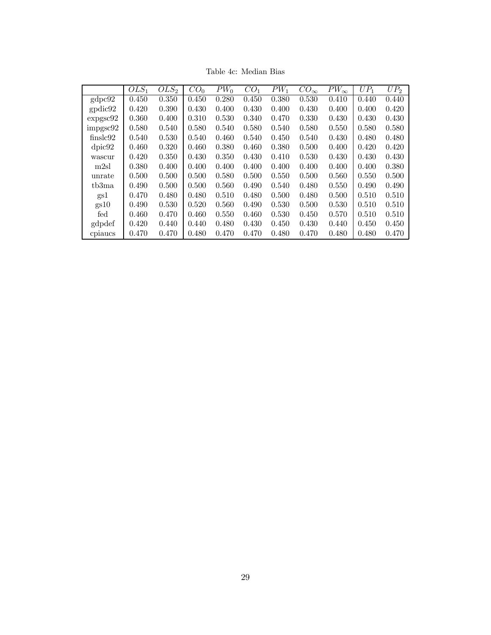|                            | $OLS_1$ | OLS <sub>2</sub> | CO <sub>0</sub> | $PW_0$ | CO <sub>1</sub> | $PW_1$ | $CO_{\infty}$ | $PW_{\infty}$ | $UP_1$ | $UP_2$ |
|----------------------------|---------|------------------|-----------------|--------|-----------------|--------|---------------|---------------|--------|--------|
| gdpc92                     | 0.450   | 0.350            | 0.450           | 0.280  | 0.450           | 0.380  | 0.530         | 0.410         | 0.440  | 0.440  |
| gpdic92                    | 0.420   | 0.390            | 0.430           | 0.400  | 0.430           | 0.400  | 0.430         | 0.400         | 0.400  | 0.420  |
| $\exp$ gsc $92$            | 0.360   | 0.400            | 0.310           | 0.530  | 0.340           | 0.470  | 0.330         | 0.430         | 0.430  | 0.430  |
| impgsc92                   | 0.580   | 0.540            | 0.580           | 0.540  | 0.580           | 0.540  | 0.580         | 0.550         | 0.580  | 0.580  |
| $\frac{\text{finslc}92}{}$ | 0.540   | 0.530            | 0.540           | 0.460  | 0.540           | 0.450  | 0.540         | 0.430         | 0.480  | 0.480  |
| dpic92                     | 0.460   | 0.320            | 0.460           | 0.380  | 0.460           | 0.380  | 0.500         | 0.400         | 0.420  | 0.420  |
| wascur                     | 0.420   | 0.350            | 0.430           | 0.350  | 0.430           | 0.410  | 0.530         | 0.430         | 0.430  | 0.430  |
| m2sl                       | 0.380   | 0.400            | 0.400           | 0.400  | 0.400           | 0.400  | 0.400         | 0.400         | 0.400  | 0.380  |
| unrate                     | 0.500   | 0.500            | 0.500           | 0.580  | 0.500           | 0.550  | 0.500         | 0.560         | 0.550  | 0.500  |
| tb3ma                      | 0.490   | 0.500            | 0.500           | 0.560  | 0.490           | 0.540  | 0.480         | 0.550         | 0.490  | 0.490  |
| gs1                        | 0.470   | 0.480            | 0.480           | 0.510  | 0.480           | 0.500  | 0.480         | 0.500         | 0.510  | 0.510  |
| gs10                       | 0.490   | 0.530            | 0.520           | 0.560  | 0.490           | 0.530  | 0.500         | 0.530         | 0.510  | 0.510  |
| fed                        | 0.460   | 0.470            | 0.460           | 0.550  | 0.460           | 0.530  | 0.450         | 0.570         | 0.510  | 0.510  |
| gdpdef                     | 0.420   | 0.440            | 0.440           | 0.480  | 0.430           | 0.450  | 0.430         | 0.440         | 0.450  | 0.450  |
| cpiaucs                    | 0.470   | 0.470            | 0.480           | 0.470  | 0.470           | 0.480  | 0.470         | 0.480         | 0.480  | 0.470  |

Table 4c: Median Bias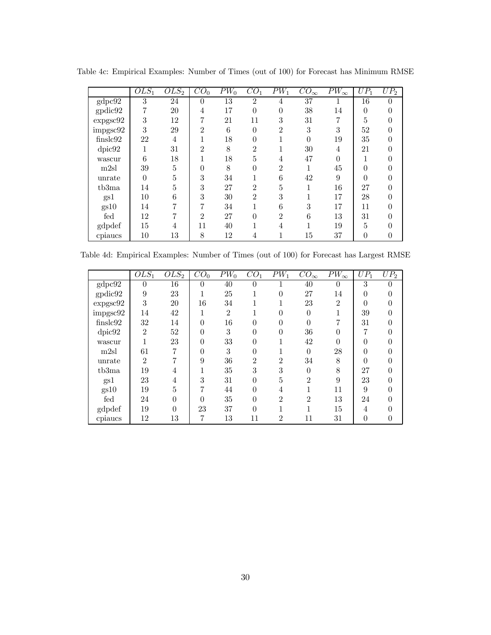|                   | $OLS_1$  | $OLS_2$ | $\overline{CO}_{0}$ | $\overline{PW}_0$ | $\overline{CO}_1$ | $\overline{PW}_1$ | $\overline{CO}_{\infty}$ | $PW_{\infty}$ | $UP_1$        | $UP_2$   |
|-------------------|----------|---------|---------------------|-------------------|-------------------|-------------------|--------------------------|---------------|---------------|----------|
| gdpc92            | 3        | 24      | $\Omega$            | 13                | $\overline{2}$    | 4                 | 37                       |               | 16            | 0        |
| $_{\rm{gpdic92}}$ |          | $20\,$  | 4                   | 17                | $\overline{0}$    | $\overline{0}$    | 38                       | 14            | $\theta$      |          |
| $\exp\!gsc\!92$   | 3        | 12      |                     | 21                | 11                | 3                 | $31\,$                   |               | $\mathcal{F}$ |          |
| $\rm{impgsc}92$   | 3        | 29      | $\overline{2}$      | 6                 | $\theta$          | $\overline{2}$    | 3                        | 3             | 52            |          |
| finslc92          | 22       | 4       |                     | 18                | $\theta$          |                   | 0                        | 19            | 35            | $\theta$ |
| dpic92            |          | 31      | $\mathfrak{D}$      | 8                 | $\overline{2}$    |                   | 30                       | 4             | 21            |          |
| wascur            | 6        | 18      |                     | 18                | 5                 | 4                 | 47                       |               |               |          |
| m2sl              | 39       | 5       | 0                   | 8                 | $\theta$          | $\overline{2}$    |                          | 45            |               |          |
| unrate            | $\Omega$ | 5       | 3                   | 34                |                   | 6                 | 42                       | 9             | $\Omega$      |          |
| tb3ma             | 14       | 5       | 3                   | 27                | $\overline{2}$    | 5                 |                          | 16            | 27            |          |
| gs1               | $10\,$   | 6       | 3                   | 30                | $\overline{2}$    | 3                 |                          | 17            | 28            | 0        |
| gs10              | 14       |         | 7                   | 34                |                   | 6                 | 3                        | 17            | 11            | $\Omega$ |
| fed               | 12       |         | $\overline{2}$      | 27                | $\Omega$          | $\overline{2}$    | 6                        | 13            | 31            |          |
| gdpdef            | 15       | 4       | 11                  | 40                |                   | 4                 |                          | 19            | 5             |          |
| cpiaucs           | $10\,$   | 13      | 8                   | 12                | 4                 |                   | 15                       | 37            | $\theta$      | $\theta$ |

Table 4c: Empirical Examples: Number of Times (out of 100) for Forecast has Minimum RMSE

Table 4d: Empirical Examples: Number of Times (out of 100) for Forecast has Largest RMSE

|                 | $OLS_1$        | $OLS_2$   | $\overline{CO}_{0}$ | $\overline{PW}_0$ | CO <sub>1</sub> | $\overline{PW_1}$ | $\overline{CO}_{\infty}$    | $PW_{\infty}$  | $\overline{U}P_1$ | $UP_2$ |
|-----------------|----------------|-----------|---------------------|-------------------|-----------------|-------------------|-----------------------------|----------------|-------------------|--------|
| gdpc92          | 0              | 16        | $\Omega$            | 40                |                 |                   | 40                          | $\theta$       | 3                 |        |
| gpidic92        | 9              | 23        |                     | 25                |                 | 0                 | 27                          | 14             | $\overline{0}$    |        |
| $\exp\!gsc\!92$ | 3              | <b>20</b> | 16                  | 34                |                 |                   | 23                          | $\overline{2}$ | $\theta$          |        |
| $\rm{impgsc}92$ | 14             | 42        |                     | $\overline{2}$    |                 |                   | $\theta$                    |                | 39                |        |
| finslc92        | 32             | 14        | $\theta$            | 16                |                 | 0                 |                             |                | 31                |        |
| dpic92          | $\overline{2}$ | 52        | $\Omega$            | 3                 | 0               | 0                 | 36                          |                | 7                 |        |
| wascur          |                | 23        | $\Omega$            | 33                |                 |                   | 42                          |                | 0                 |        |
| m2sl            | 61             |           | $\Omega$            | 3                 |                 |                   | $\Omega$                    | 28             | $\theta$          |        |
| unrate          | $\overline{2}$ |           | 9                   | 36                | $\overline{2}$  | $\overline{2}$    | 34                          | 8              | 0                 |        |
| tb3ma           | 19             | 4         |                     | 35                | 3               | 3                 | $\Omega$                    | 8              | 27                |        |
| gs1             | 23             | 4         | 3                   | 31                |                 | 5                 | $\mathfrak{D}$              | 9              | 23                |        |
| gs10            | 19             | 5         |                     | 44                | $\Omega$        | 4                 |                             | 11             | 9                 |        |
| fed             | 24             | $\Omega$  | $\Omega$            | 35                | $\Omega$        | $\overline{2}$    | $\mathcal{D}_{\mathcal{L}}$ | 13             | 24                |        |
| gdpdef          | 19             | $\Omega$  | 23                  | 37                |                 |                   |                             | 15             | 4                 |        |
| cpiaucs         | 12             | 13        | 7                   | 13                | 11              | $\overline{2}$    | 11                          | 31             | $\overline{0}$    | 0      |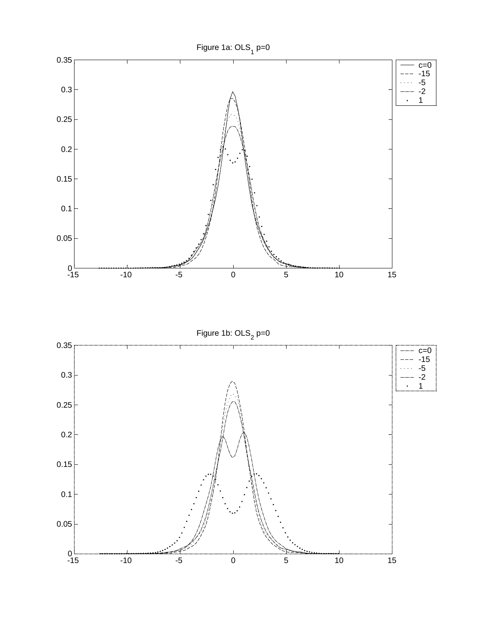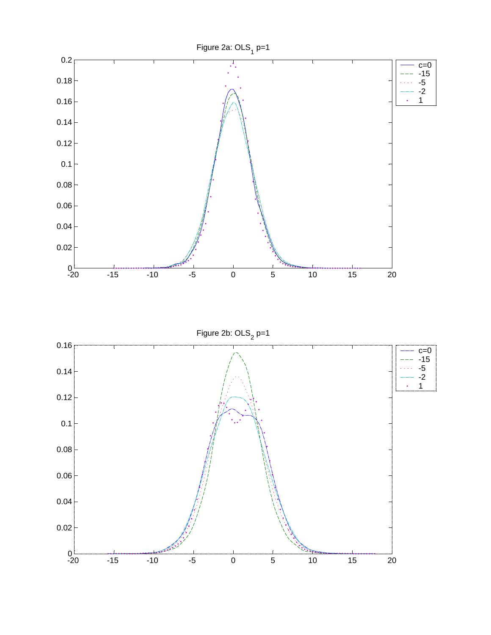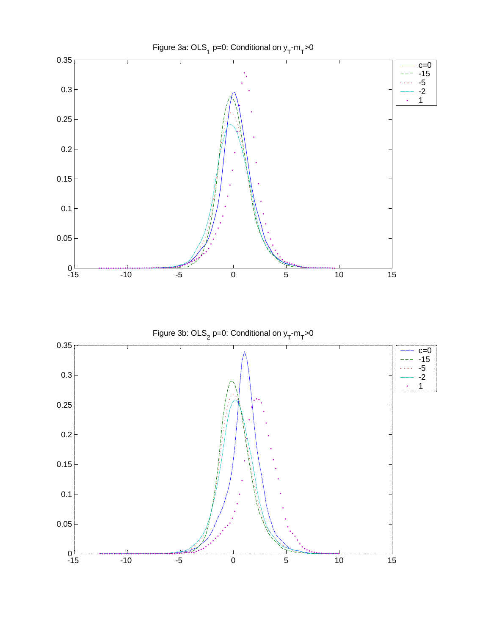